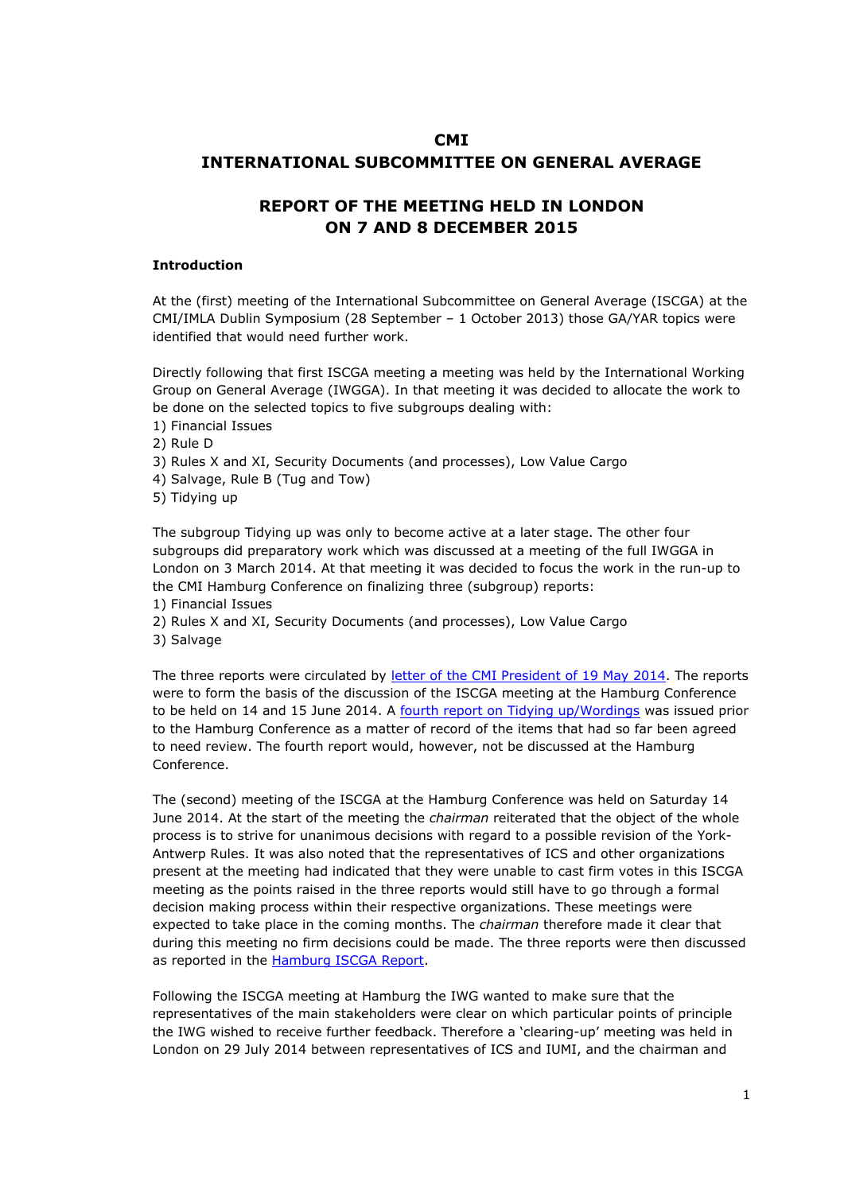# **CMI INTERNATIONAL SUBCOMMITTEE ON GENERAL AVERAGE**

# **REPORT OF THE MEETING HELD IN LONDON ON 7 AND 8 DECEMBER 2015**

#### **Introduction**

At the (first) meeting of the International Subcommittee on General Average (ISCGA) at the CMI/IMLA Dublin Symposium (28 September – 1 October 2013) those GA/YAR topics were identified that would need further work.

Directly following that first ISCGA meeting a meeting was held by the International Working Group on General Average (IWGGA). In that meeting it was decided to allocate the work to be done on the selected topics to five subgroups dealing with:

- 1) Financial Issues
- 2) Rule D
- 3) Rules X and XI, Security Documents (and processes), Low Value Cargo
- 4) Salvage, Rule B (Tug and Tow)
- 5) Tidying up

The subgroup Tidying up was only to become active at a later stage. The other four subgroups did preparatory work which was discussed at a meeting of the full IWGGA in London on 3 March 2014. At that meeting it was decided to focus the work in the run-up to the CMI Hamburg Conference on finalizing three (subgroup) reports:

- 1) Financial Issues
- 2) Rules X and XI, Security Documents (and processes), Low Value Cargo
- 3) Salvage

The three reports were circulated by [letter](http://www.comitemaritime.org/Uploads/pdf/CMI-ISC-General-Average-Hamburg-June-2014.pdf) [of](http://www.comitemaritime.org/Uploads/pdf/CMI-ISC-General-Average-Hamburg-June-2014.pdf) [the](http://www.comitemaritime.org/Uploads/pdf/CMI-ISC-General-Average-Hamburg-June-2014.pdf) [CMI](http://www.comitemaritime.org/Uploads/pdf/CMI-ISC-General-Average-Hamburg-June-2014.pdf) [President](http://www.comitemaritime.org/Uploads/pdf/CMI-ISC-General-Average-Hamburg-June-2014.pdf) [of](http://www.comitemaritime.org/Uploads/pdf/CMI-ISC-General-Average-Hamburg-June-2014.pdf) [19](http://www.comitemaritime.org/Uploads/pdf/CMI-ISC-General-Average-Hamburg-June-2014.pdf) [May](http://www.comitemaritime.org/Uploads/pdf/CMI-ISC-General-Average-Hamburg-June-2014.pdf) [2014.](http://www.comitemaritime.org/Uploads/pdf/CMI-ISC-General-Average-Hamburg-June-2014.pdf) The reports were to form the basis of the discussion of the ISCGA meeting at the Hamburg Conference to be held on 14 and 15 June 2014. A [fourth](http://www.comitemaritime.org/Uploads/pdf/CMI_IWGGA_ReportWording.pdf) [report](http://www.comitemaritime.org/Uploads/pdf/CMI_IWGGA_ReportWording.pdf) [on](http://www.comitemaritime.org/Uploads/pdf/CMI_IWGGA_ReportWording.pdf) [Tidying](http://www.comitemaritime.org/Uploads/pdf/CMI_IWGGA_ReportWording.pdf) [up/Wordings](http://www.comitemaritime.org/Uploads/pdf/CMI_IWGGA_ReportWording.pdf) was issued prior to the Hamburg Conference as a matter of record of the items that had so far been agreed to need review. The fourth report would, however, not be discussed at the Hamburg Conference.

The (second) meeting of the ISCGA at the Hamburg Conference was held on Saturday 14 June 2014. At the start of the meeting the *chairman* reiterated that the object of the whole process is to strive for unanimous decisions with regard to a possible revision of the York-Antwerp Rules. It was also noted that the representatives of ICS and other organizations present at the meeting had indicated that they were unable to cast firm votes in this ISCGA meeting as the points raised in the three reports would still have to go through a formal decision making process within their respective organizations. These meetings were expected to take place in the coming months. The *chairman* therefore made it clear that during this meeting no firm decisions could be made. The three reports were then discussed as reported in the [Hamburg](http://www.comitemaritime.org/Uploads/CMI_ISCGA_ReportHamburgConf2014(final).pdf) [ISCGA](http://www.comitemaritime.org/Uploads/CMI_ISCGA_ReportHamburgConf2014(final).pdf) [Report](http://www.comitemaritime.org/Uploads/CMI_ISCGA_ReportHamburgConf2014(final).pdf).

Following the ISCGA meeting at Hamburg the IWG wanted to make sure that the representatives of the main stakeholders were clear on which particular points of principle the IWG wished to receive further feedback. Therefore a 'clearing-up' meeting was held in London on 29 July 2014 between representatives of ICS and IUMI, and the chairman and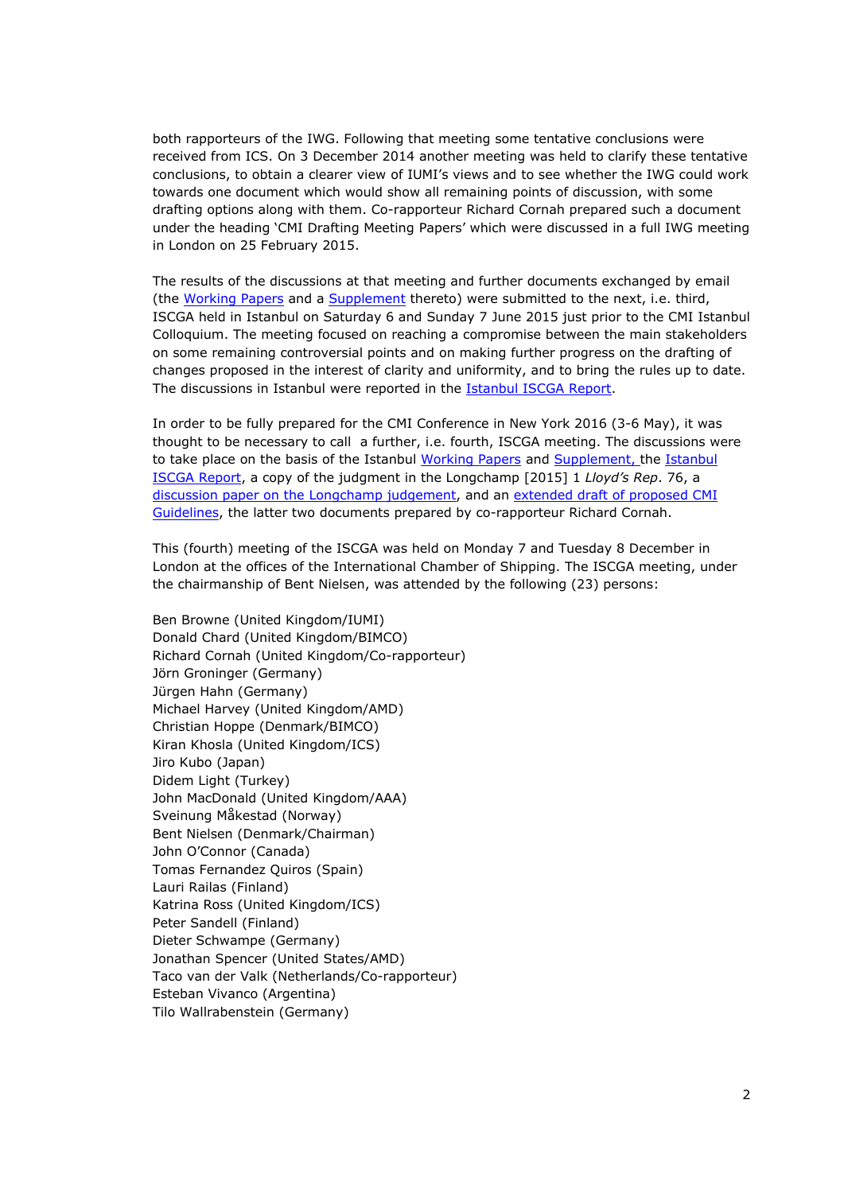both rapporteurs of the IWG. Following that meeting some tentative conclusions were received from ICS. On 3 December 2014 another meeting was held to clarify these tentative conclusions, to obtain a clearer view of IUMI's views and to see whether the IWG could work towards one document which would show all remaining points of discussion, with some drafting options along with them. Co-rapporteur Richard Cornah prepared such a document under the heading 'CMI Drafting Meeting Papers' which were discussed in a full IWG meeting in London on 25 February 2015.

The results of the discussions at that meeting and further documents exchanged by email (the [Working](http://www.comitemaritime.org/Uploads/Work%20In%20Progress/Rules%20of%20General%20Average/CMI_IWG_GA_ISCWorkingPaperIstanbul2015(final).pdf) [Papers](http://www.comitemaritime.org/Uploads/Work%20In%20Progress/Rules%20of%20General%20Average/CMI_IWG_GA_ISCWorkingPaperIstanbul2015(final).pdf) and a [Supplement](http://www.comitemaritime.org/Uploads/Work%20In%20Progress/Rules%20of%20General%20Average/CMI%20IWG%20ISC%20General%20Average%20-%20Working%20Paper%20Istanbul%202015%20(Supplement).pdf) thereto) were submitted to the next, i.e. third, ISCGA held in Istanbul on Saturday 6 and Sunday 7 June 2015 just prior to the CMI Istanbul Colloquium. The meeting focused on reaching a compromise between the main stakeholders on some remaining controversial points and on making further progress on the drafting of changes proposed in the interest of clarity and uniformity, and to bring the rules up to date. The discussions in Istanbul were reported in the [Istanbul](http://comitemaritime.org/Uploads/Work%20In%20Progress/Rules%20of%20General%20Average/CMI_ISCGA_ReportIstanbul(final).pdf) [ISCGA](http://comitemaritime.org/Uploads/Work%20In%20Progress/Rules%20of%20General%20Average/CMI_ISCGA_ReportIstanbul(final).pdf) [Report.](http://comitemaritime.org/Uploads/Work%20In%20Progress/Rules%20of%20General%20Average/CMI_ISCGA_ReportIstanbul(final).pdf)

In order to be fully prepared for the CMI Conference in New York 2016 (3-6 May), it was thought to be necessary to call a further, i.e. fourth, ISCGA meeting. The discussions were to take place on the basis of the Istanbul [Working](http://www.comitemaritime.org/Uploads/Work%20In%20Progress/Rules%20of%20General%20Average/CMI_IWG_GA_ISCWorkingPaperIstanbul2015(final).pdf) [Papers](http://www.comitemaritime.org/Uploads/Work%20In%20Progress/Rules%20of%20General%20Average/CMI_IWG_GA_ISCWorkingPaperIstanbul2015(final).pdf) and [Supplement](http://www.comitemaritime.org/Uploads/Work%20In%20Progress/Rules%20of%20General%20Average/CMI%20IWG%20ISC%20General%20Average%20-%20Working%20Paper%20Istanbul%202015%20(Supplement).pdf), the [Istanbul](http://comitemaritime.org/Uploads/Work%20In%20Progress/Rules%20of%20General%20Average/CMI_ISCGA_ReportIstanbul(final).pdf) [ISCGA](http://comitemaritime.org/Uploads/Work%20In%20Progress/Rules%20of%20General%20Average/CMI_ISCGA_ReportIstanbul(final).pdf) [Report](http://comitemaritime.org/Uploads/Work%20In%20Progress/Rules%20of%20General%20Average/CMI_ISCGA_ReportIstanbul(final).pdf), a copy of the judgment in the Longchamp [2015] 1 *Lloyd's Rep*. 76, a [discussion](http://comitemaritime.org/Uploads/Work%20In%20Progress/Rules%20of%20General%20Average/CMI_ISC_GA_London20151207_DiscussionPaperLongchampRuleF.pdf) [paper](http://comitemaritime.org/Uploads/Work%20In%20Progress/Rules%20of%20General%20Average/CMI_ISC_GA_London20151207_DiscussionPaperLongchampRuleF.pdf) [on](http://comitemaritime.org/Uploads/Work%20In%20Progress/Rules%20of%20General%20Average/CMI_ISC_GA_London20151207_DiscussionPaperLongchampRuleF.pdf) [the](http://comitemaritime.org/Uploads/Work%20In%20Progress/Rules%20of%20General%20Average/CMI_ISC_GA_London20151207_DiscussionPaperLongchampRuleF.pdf) [Longchamp](http://comitemaritime.org/Uploads/Work%20In%20Progress/Rules%20of%20General%20Average/CMI_ISC_GA_London20151207_DiscussionPaperLongchampRuleF.pdf) [judgement,](http://comitemaritime.org/Uploads/Work%20In%20Progress/Rules%20of%20General%20Average/CMI_ISC_GA_London20151207_DiscussionPaperLongchampRuleF.pdf) and an [extended](http://comitemaritime.org/Uploads/Work%20In%20Progress/Rules%20of%20General%20Average/DraftCMIGuidelinesOnGA20151014.pdf) [draft](http://comitemaritime.org/Uploads/Work%20In%20Progress/Rules%20of%20General%20Average/DraftCMIGuidelinesOnGA20151014.pdf) [of](http://comitemaritime.org/Uploads/Work%20In%20Progress/Rules%20of%20General%20Average/DraftCMIGuidelinesOnGA20151014.pdf) [proposed](http://comitemaritime.org/Uploads/Work%20In%20Progress/Rules%20of%20General%20Average/DraftCMIGuidelinesOnGA20151014.pdf) [CMI](http://comitemaritime.org/Uploads/Work%20In%20Progress/Rules%20of%20General%20Average/DraftCMIGuidelinesOnGA20151014.pdf) [Guidelines](http://comitemaritime.org/Uploads/Work%20In%20Progress/Rules%20of%20General%20Average/DraftCMIGuidelinesOnGA20151014.pdf), the latter two documents prepared by co-rapporteur Richard Cornah.

This (fourth) meeting of the ISCGA was held on Monday 7 and Tuesday 8 December in London at the offices of the International Chamber of Shipping. The ISCGA meeting, under the chairmanship of Bent Nielsen, was attended by the following (23) persons:

Ben Browne (United Kingdom/IUMI) Donald Chard (United Kingdom/BIMCO) Richard Cornah (United Kingdom/Co-rapporteur) Jörn Groninger (Germany) Jürgen Hahn (Germany) Michael Harvey (United Kingdom/AMD) Christian Hoppe (Denmark/BIMCO) Kiran Khosla (United Kingdom/ICS) Jiro Kubo (Japan) Didem Light (Turkey) John MacDonald (United Kingdom/AAA) Sveinung Måkestad (Norway) Bent Nielsen (Denmark/Chairman) John O'Connor (Canada) Tomas Fernandez Quiros (Spain) Lauri Railas (Finland) Katrina Ross (United Kingdom/ICS) Peter Sandell (Finland) Dieter Schwampe (Germany) Jonathan Spencer (United States/AMD) Taco van der Valk (Netherlands/Co-rapporteur) Esteban Vivanco (Argentina) Tilo Wallrabenstein (Germany)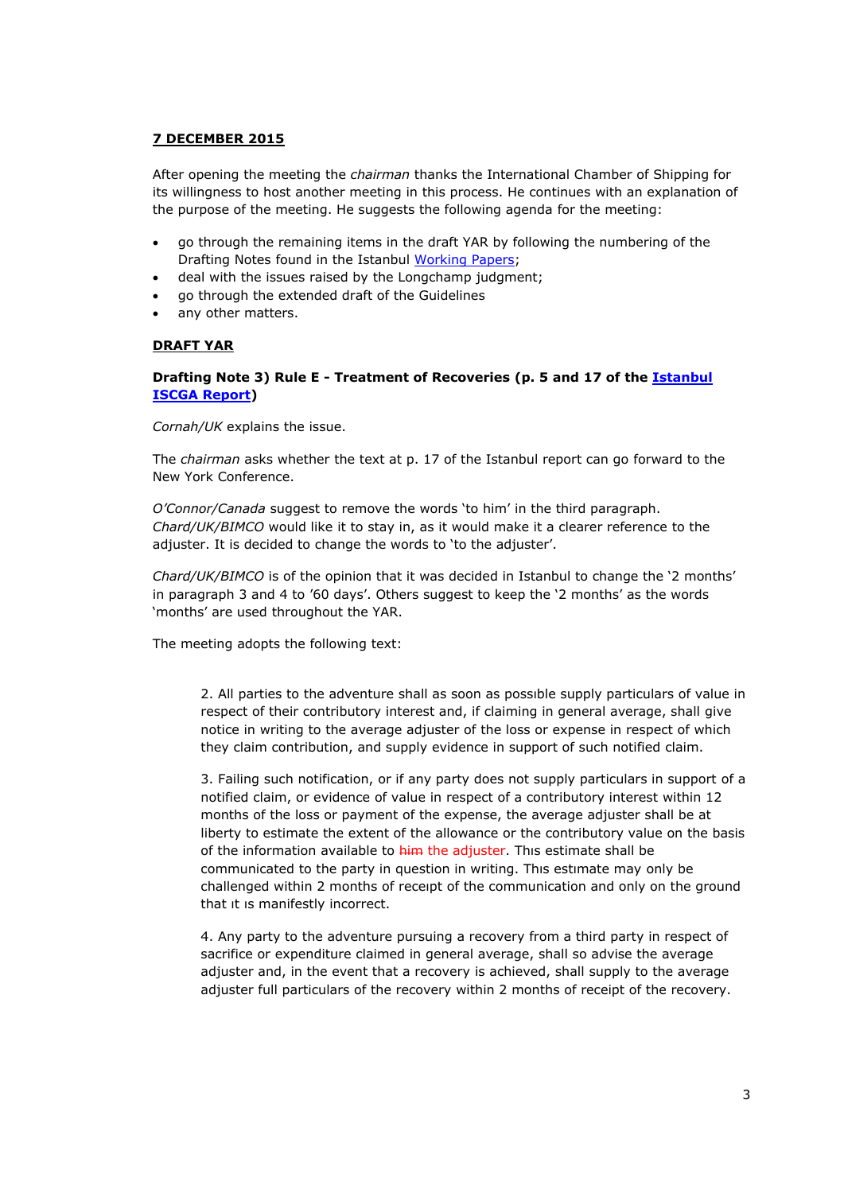# **7 DECEMBER 2015**

After opening the meeting the *chairman* thanks the International Chamber of Shipping for its willingness to host another meeting in this process. He continues with an explanation of the purpose of the meeting. He suggests the following agenda for the meeting:

- go through the remaining items in the draft YAR by following the numbering of the Drafting Notes found in the Istanbul [Working](http://www.comitemaritime.org/Uploads/Work%20In%20Progress/Rules%20of%20General%20Average/CMI_IWG_GA_ISCWorkingPaperIstanbul2015(final).pdf) [Papers](http://www.comitemaritime.org/Uploads/Work%20In%20Progress/Rules%20of%20General%20Average/CMI_IWG_GA_ISCWorkingPaperIstanbul2015(final).pdf);
- deal with the issues raised by the Longchamp judgment;
- go through the extended draft of the Guidelines
- any other matters.

### **DRAFT YAR**

### **Drafting Note 3) Rule E - Treatment of Recoveries (p. 5 and 17 of the [Istanbul](http://comitemaritime.org/Uploads/Work%20In%20Progress/Rules%20of%20General%20Average/CMI_ISCGA_ReportIstanbul(final).pdf) [ISCGA](http://comitemaritime.org/Uploads/Work%20In%20Progress/Rules%20of%20General%20Average/CMI_ISCGA_ReportIstanbul(final).pdf) [Report\)](http://comitemaritime.org/Uploads/Work%20In%20Progress/Rules%20of%20General%20Average/CMI_ISCGA_ReportIstanbul(final).pdf)**

*Cornah/UK* explains the issue.

The *chairman* asks whether the text at p. 17 of the Istanbul report can go forward to the New York Conference.

*O'Connor/Canada* suggest to remove the words 'to him' in the third paragraph. *Chard/UK/BIMCO* would like it to stay in, as it would make it a clearer reference to the adjuster. It is decided to change the words to 'to the adjuster'.

*Chard/UK/BIMCO* is of the opinion that it was decided in Istanbul to change the '2 months' in paragraph 3 and 4 to '60 days'. Others suggest to keep the '2 months' as the words 'months' are used throughout the YAR.

The meeting adopts the following text:

2. All parties to the adventure shall as soon as possıble supply particulars of value in respect of their contributory interest and, if claiming in general average, shall give notice in writing to the average adjuster of the loss or expense in respect of which they claim contribution, and supply evidence in support of such notified claim.

3. Failing such notification, or if any party does not supply particulars in support of a notified claim, or evidence of value in respect of a contributory interest within 12 months of the loss or payment of the expense, the average adjuster shall be at liberty to estimate the extent of the allowance or the contributory value on the basis of the information available to him the adjuster. Thıs estimate shall be communicated to the party in question in writing. Thıs estımate may only be challenged within 2 months of receıpt of the communication and only on the ground that ıt ıs manifestly incorrect.

4. Any party to the adventure pursuing a recovery from a third party in respect of sacrifice or expenditure claimed in general average, shall so advise the average adjuster and, in the event that a recovery is achieved, shall supply to the average adjuster full particulars of the recovery within 2 months of receipt of the recovery.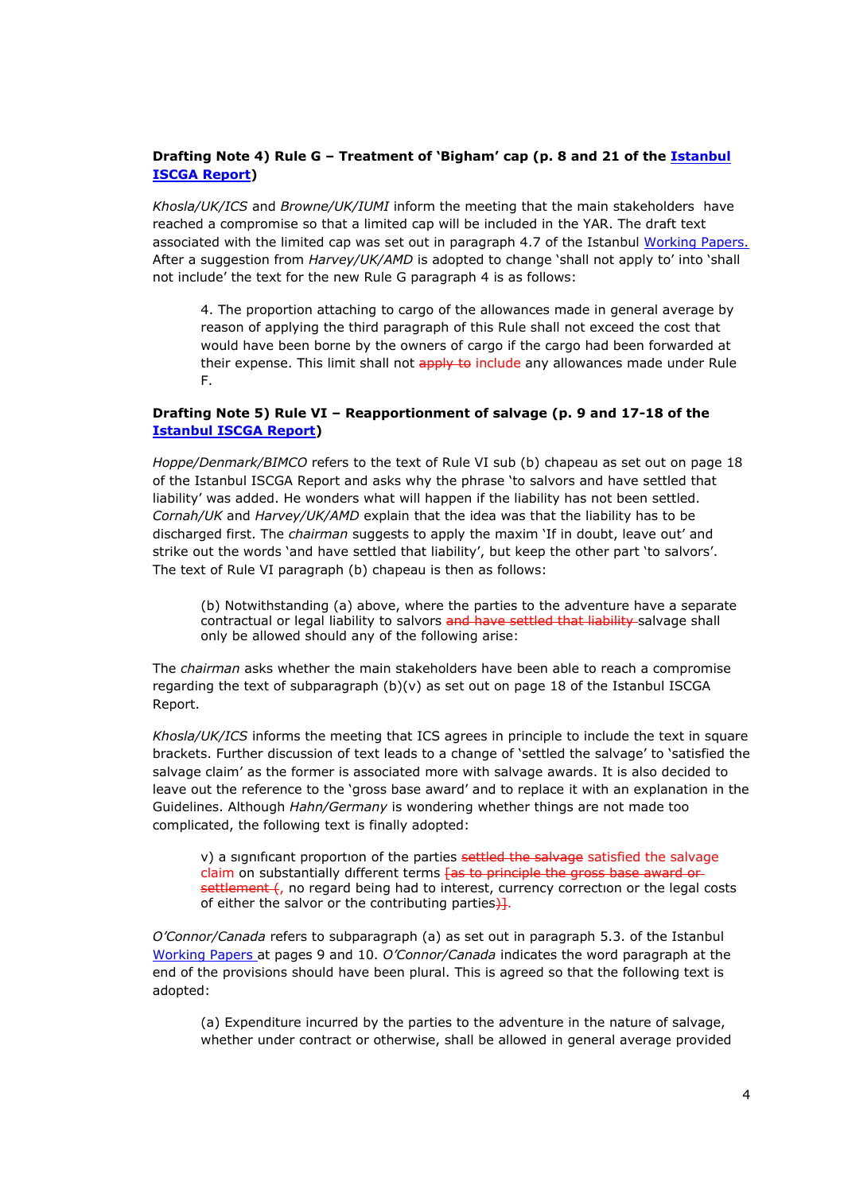# **Drafting Note 4) Rule G – Treatment of 'Bigham' cap (p. 8 and 21 of the [Istanbul](http://comitemaritime.org/Uploads/Work%20In%20Progress/Rules%20of%20General%20Average/CMI_ISCGA_ReportIstanbul(final).pdf) [ISCGA](http://comitemaritime.org/Uploads/Work%20In%20Progress/Rules%20of%20General%20Average/CMI_ISCGA_ReportIstanbul(final).pdf) [Report\)](http://comitemaritime.org/Uploads/Work%20In%20Progress/Rules%20of%20General%20Average/CMI_ISCGA_ReportIstanbul(final).pdf)**

*Khosla/UK/ICS* and *Browne/UK/IUMI* inform the meeting that the main stakeholders have reached a compromise so that a limited cap will be included in the YAR. The draft text associated with the limited cap was set out in paragraph 4.7 of the Istanbul [Working](http://www.comitemaritime.org/Uploads/Work%20In%20Progress/Rules%20of%20General%20Average/CMI_IWG_GA_ISCWorkingPaperIstanbul2015(final).pdf) [Papers](http://www.comitemaritime.org/Uploads/Work%20In%20Progress/Rules%20of%20General%20Average/CMI_IWG_GA_ISCWorkingPaperIstanbul2015(final).pdf). After a suggestion from *Harvey/UK/AMD* is adopted to change 'shall not apply to' into 'shall not include' the text for the new Rule G paragraph 4 is as follows:

4. The proportion attaching to cargo of the allowances made in general average by reason of applying the third paragraph of this Rule shall not exceed the cost that would have been borne by the owners of cargo if the cargo had been forwarded at their expense. This limit shall not apply to include any allowances made under Rule F.

### **Drafting Note 5) Rule VI – Reapportionment of salvage (p. 9 and 17-18 of the [Istanbul](http://comitemaritime.org/Uploads/Work%20In%20Progress/Rules%20of%20General%20Average/CMI_ISCGA_ReportIstanbul(final).pdf) [ISCGA](http://comitemaritime.org/Uploads/Work%20In%20Progress/Rules%20of%20General%20Average/CMI_ISCGA_ReportIstanbul(final).pdf) [Report\)](http://comitemaritime.org/Uploads/Work%20In%20Progress/Rules%20of%20General%20Average/CMI_ISCGA_ReportIstanbul(final).pdf)**

*Hoppe/Denmark/BIMCO* refers to the text of Rule VI sub (b) chapeau as set out on page 18 of the Istanbul ISCGA Report and asks why the phrase 'to salvors and have settled that liability' was added. He wonders what will happen if the liability has not been settled. *Cornah/UK* and *Harvey/UK/AMD* explain that the idea was that the liability has to be discharged first. The *chairman* suggests to apply the maxim 'If in doubt, leave out' and strike out the words 'and have settled that liability', but keep the other part 'to salvors'. The text of Rule VI paragraph (b) chapeau is then as follows:

(b) Notwithstanding (a) above, where the parties to the adventure have a separate contractual or legal liability to salvors and have settled that liability salvage shall only be allowed should any of the following arise:

The *chairman* asks whether the main stakeholders have been able to reach a compromise regarding the text of subparagraph  $(b)(v)$  as set out on page 18 of the Istanbul ISCGA Report.

*Khosla/UK/ICS* informs the meeting that ICS agrees in principle to include the text in square brackets. Further discussion of text leads to a change of 'settled the salvage' to 'satisfied the salvage claim' as the former is associated more with salvage awards. It is also decided to leave out the reference to the 'gross base award' and to replace it with an explanation in the Guidelines. Although *Hahn/Germany* is wondering whether things are not made too complicated, the following text is finally adopted:

v) a significant proportion of the parties settled the salvage satisfied the salvage claim on substantially different terms [as to principle the gross base award orsettlement (, no regard being had to interest, currency correction or the legal costs of either the salvor or the contributing parties $\frac{1}{2}$ .

*O'Connor/Canada* refers to subparagraph (a) as set out in paragraph 5.3. of the Istanbul [Working](http://www.comitemaritime.org/Uploads/Work%20In%20Progress/Rules%20of%20General%20Average/CMI_IWG_GA_ISCWorkingPaperIstanbul2015(final).pdf) [Papers](http://www.comitemaritime.org/Uploads/Work%20In%20Progress/Rules%20of%20General%20Average/CMI_IWG_GA_ISCWorkingPaperIstanbul2015(final).pdf) at pages 9 and 10. *O'Connor/Canada* indicates the word paragraph at the end of the provisions should have been plural. This is agreed so that the following text is adopted:

(a) Expenditure incurred by the parties to the adventure in the nature of salvage, whether under contract or otherwise, shall be allowed in general average provided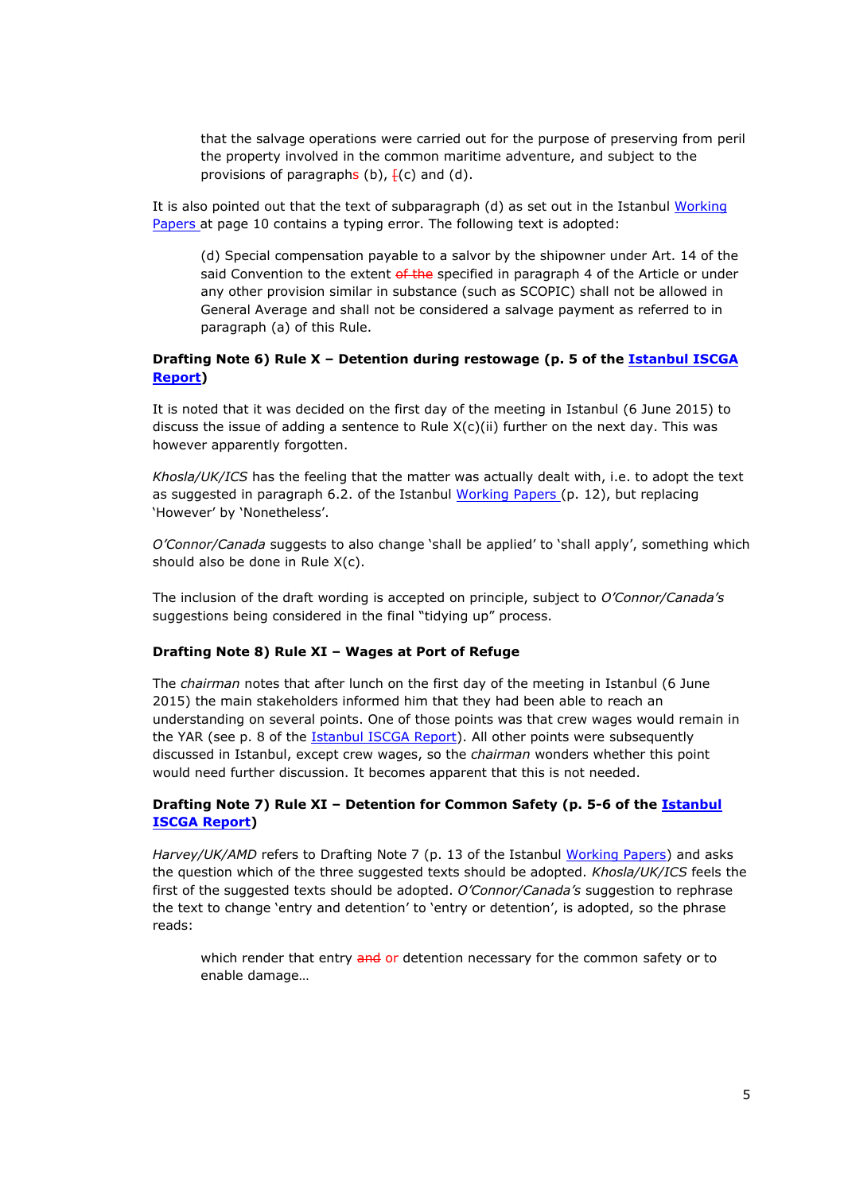that the salvage operations were carried out for the purpose of preserving from peril the property involved in the common maritime adventure, and subject to the provisions of paragraphs (b),  $\frac{1}{2}$ (c) and (d).

It is also pointed out that the text of subparagraph (d) as set out in the Istanbul [Working](http://www.comitemaritime.org/Uploads/Work%20In%20Progress/Rules%20of%20General%20Average/CMI_IWG_GA_ISCWorkingPaperIstanbul2015(final).pdf) [Papers](http://www.comitemaritime.org/Uploads/Work%20In%20Progress/Rules%20of%20General%20Average/CMI_IWG_GA_ISCWorkingPaperIstanbul2015(final).pdf) at page 10 contains a typing error. The following text is adopted:

(d) Special compensation payable to a salvor by the shipowner under Art. 14 of the said Convention to the extent of the specified in paragraph 4 of the Article or under any other provision similar in substance (such as SCOPIC) shall not be allowed in General Average and shall not be considered a salvage payment as referred to in paragraph (a) of this Rule.

### **Drafting Note 6) Rule X – Detention during restowage (p. 5 of the [Istanbul](http://comitemaritime.org/Uploads/Work%20In%20Progress/Rules%20of%20General%20Average/CMI_ISCGA_ReportIstanbul(final).pdf) [ISCGA](http://comitemaritime.org/Uploads/Work%20In%20Progress/Rules%20of%20General%20Average/CMI_ISCGA_ReportIstanbul(final).pdf) [Report\)](http://comitemaritime.org/Uploads/Work%20In%20Progress/Rules%20of%20General%20Average/CMI_ISCGA_ReportIstanbul(final).pdf)**

It is noted that it was decided on the first day of the meeting in Istanbul (6 June 2015) to discuss the issue of adding a sentence to Rule  $X(c)(ii)$  further on the next day. This was however apparently forgotten.

*Khosla/UK/ICS* has the feeling that the matter was actually dealt with, i.e. to adopt the text as suggested in paragraph 6.2. of the Istanbul [Working](http://www.comitemaritime.org/Uploads/Work%20In%20Progress/Rules%20of%20General%20Average/CMI_IWG_GA_ISCWorkingPaperIstanbul2015(final).pdf) [Papers](http://www.comitemaritime.org/Uploads/Work%20In%20Progress/Rules%20of%20General%20Average/CMI_IWG_GA_ISCWorkingPaperIstanbul2015(final).pdf) (p. 12), but replacing 'However' by 'Nonetheless'.

*O'Connor/Canada* suggests to also change 'shall be applied' to 'shall apply', something which should also be done in Rule X(c).

The inclusion of the draft wording is accepted on principle, subject to *O'Connor/Canada's* suggestions being considered in the final "tidying up" process.

#### **Drafting Note 8) Rule XI – Wages at Port of Refuge**

The *chairman* notes that after lunch on the first day of the meeting in Istanbul (6 June 2015) the main stakeholders informed him that they had been able to reach an understanding on several points. One of those points was that crew wages would remain in the YAR (see p. 8 of the [Istanbul](http://comitemaritime.org/Uploads/Work%20In%20Progress/Rules%20of%20General%20Average/CMI_ISCGA_ReportIstanbul(final).pdf) [ISCGA](http://comitemaritime.org/Uploads/Work%20In%20Progress/Rules%20of%20General%20Average/CMI_ISCGA_ReportIstanbul(final).pdf) [Report](http://comitemaritime.org/Uploads/Work%20In%20Progress/Rules%20of%20General%20Average/CMI_ISCGA_ReportIstanbul(final).pdf)). All other points were subsequently discussed in Istanbul, except crew wages, so the *chairman* wonders whether this point would need further discussion. It becomes apparent that this is not needed.

### **Drafting Note 7) Rule XI – Detention for Common Safety (p. 5-6 of the [Istanbul](http://comitemaritime.org/Uploads/Work%20In%20Progress/Rules%20of%20General%20Average/CMI_ISCGA_ReportIstanbul(final).pdf) [ISCGA](http://comitemaritime.org/Uploads/Work%20In%20Progress/Rules%20of%20General%20Average/CMI_ISCGA_ReportIstanbul(final).pdf) [Report\)](http://comitemaritime.org/Uploads/Work%20In%20Progress/Rules%20of%20General%20Average/CMI_ISCGA_ReportIstanbul(final).pdf)**

*Harvey/UK/AMD* refers to Drafting Note 7 (p. 13 of the Istanbul [Working](http://www.comitemaritime.org/Uploads/Work%20In%20Progress/Rules%20of%20General%20Average/CMI_IWG_GA_ISCWorkingPaperIstanbul2015(final).pdf) [Papers](http://www.comitemaritime.org/Uploads/Work%20In%20Progress/Rules%20of%20General%20Average/CMI_IWG_GA_ISCWorkingPaperIstanbul2015(final).pdf)) and asks the question which of the three suggested texts should be adopted. *Khosla/UK/ICS* feels the first of the suggested texts should be adopted. *O'Connor/Canada's* suggestion to rephrase the text to change 'entry and detention' to 'entry or detention', is adopted, so the phrase reads:

which render that entry and or detention necessary for the common safety or to enable damage…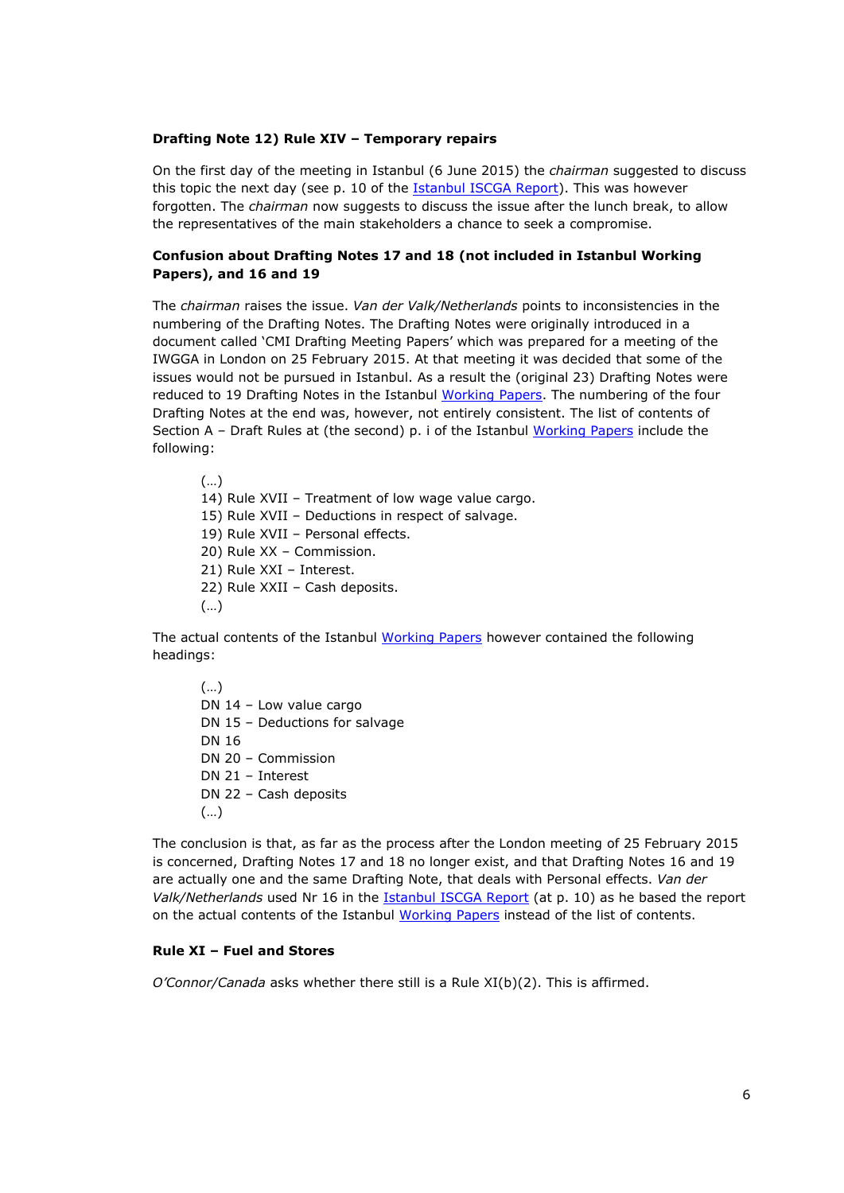#### **Drafting Note 12) Rule XIV – Temporary repairs**

On the first day of the meeting in Istanbul (6 June 2015) the *chairman* suggested to discuss this topic the next day (see p. 10 of the [Istanbul](http://comitemaritime.org/Uploads/Work%20In%20Progress/Rules%20of%20General%20Average/CMI_ISCGA_ReportIstanbul(final).pdf) [ISCGA](http://comitemaritime.org/Uploads/Work%20In%20Progress/Rules%20of%20General%20Average/CMI_ISCGA_ReportIstanbul(final).pdf) [Report](http://comitemaritime.org/Uploads/Work%20In%20Progress/Rules%20of%20General%20Average/CMI_ISCGA_ReportIstanbul(final).pdf)). This was however forgotten. The *chairman* now suggests to discuss the issue after the lunch break, to allow the representatives of the main stakeholders a chance to seek a compromise.

### **Confusion about Drafting Notes 17 and 18 (not included in Istanbul Working Papers), and 16 and 19**

The *chairman* raises the issue. *Van der Valk/Netherlands* points to inconsistencies in the numbering of the Drafting Notes. The Drafting Notes were originally introduced in a document called 'CMI Drafting Meeting Papers' which was prepared for a meeting of the IWGGA in London on 25 February 2015. At that meeting it was decided that some of the issues would not be pursued in Istanbul. As a result the (original 23) Drafting Notes were reduced to 19 Drafting Notes in the Istanbul [Working](http://www.comitemaritime.org/Uploads/Work%20In%20Progress/Rules%20of%20General%20Average/CMI_IWG_GA_ISCWorkingPaperIstanbul2015(final).pdf) [Papers.](http://www.comitemaritime.org/Uploads/Work%20In%20Progress/Rules%20of%20General%20Average/CMI_IWG_GA_ISCWorkingPaperIstanbul2015(final).pdf) The numbering of the four Drafting Notes at the end was, however, not entirely consistent. The list of contents of Section  $A -$  Draft Rules at (the second) p. i of the Istanbul [Working](http://www.comitemaritime.org/Uploads/Work%20In%20Progress/Rules%20of%20General%20Average/CMI_IWG_GA_ISCWorkingPaperIstanbul2015(final).pdf) [Papers](http://www.comitemaritime.org/Uploads/Work%20In%20Progress/Rules%20of%20General%20Average/CMI_IWG_GA_ISCWorkingPaperIstanbul2015(final).pdf) include the following:

(…) 14) Rule XVII – Treatment of low wage value cargo. 15) Rule XVII – Deductions in respect of salvage. 19) Rule XVII – Personal effects. 20) Rule XX – Commission. 21) Rule XXI – Interest. 22) Rule XXII – Cash deposits. (…)

The actual contents of the Istanbul [Working](http://www.comitemaritime.org/Uploads/Work%20In%20Progress/Rules%20of%20General%20Average/CMI_IWG_GA_ISCWorkingPaperIstanbul2015(final).pdf) [Papers](http://www.comitemaritime.org/Uploads/Work%20In%20Progress/Rules%20of%20General%20Average/CMI_IWG_GA_ISCWorkingPaperIstanbul2015(final).pdf) however contained the following headings:

(…) DN 14 – Low value cargo DN 15 – Deductions for salvage DN 16 DN 20 – Commission DN 21 – Interest DN 22 – Cash deposits (…)

The conclusion is that, as far as the process after the London meeting of 25 February 2015 is concerned, Drafting Notes 17 and 18 no longer exist, and that Drafting Notes 16 and 19 are actually one and the same Drafting Note, that deals with Personal effects. *Van der Valk/Netherlands* used Nr 16 in the [Istanbul](http://comitemaritime.org/Uploads/Work%20In%20Progress/Rules%20of%20General%20Average/CMI_ISCGA_ReportIstanbul(final).pdf) [ISCGA](http://comitemaritime.org/Uploads/Work%20In%20Progress/Rules%20of%20General%20Average/CMI_ISCGA_ReportIstanbul(final).pdf) [Report](http://comitemaritime.org/Uploads/Work%20In%20Progress/Rules%20of%20General%20Average/CMI_ISCGA_ReportIstanbul(final).pdf) (at p. 10) as he based the report on the actual contents of the Istanbul [Working](http://www.comitemaritime.org/Uploads/Work%20In%20Progress/Rules%20of%20General%20Average/CMI_IWG_GA_ISCWorkingPaperIstanbul2015(final).pdf) [Papers](http://www.comitemaritime.org/Uploads/Work%20In%20Progress/Rules%20of%20General%20Average/CMI_IWG_GA_ISCWorkingPaperIstanbul2015(final).pdf) instead of the list of contents.

#### **Rule XI – Fuel and Stores**

*O'Connor/Canada* asks whether there still is a Rule XI(b)(2). This is affirmed.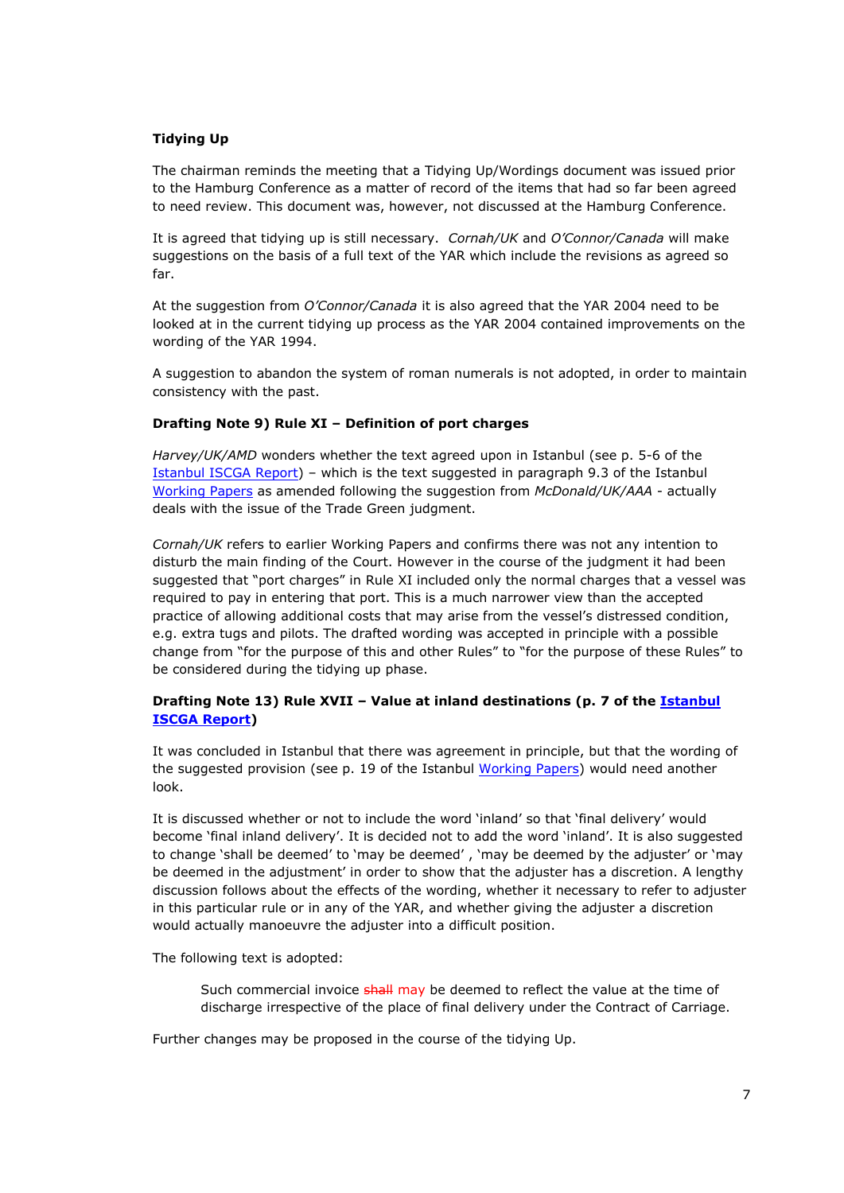### **Tidying Up**

The chairman reminds the meeting that a Tidying Up/Wordings document was issued prior to the Hamburg Conference as a matter of record of the items that had so far been agreed to need review. This document was, however, not discussed at the Hamburg Conference.

It is agreed that tidying up is still necessary. *Cornah/UK* and *O'Connor/Canada* will make suggestions on the basis of a full text of the YAR which include the revisions as agreed so far.

At the suggestion from *O'Connor/Canada* it is also agreed that the YAR 2004 need to be looked at in the current tidying up process as the YAR 2004 contained improvements on the wording of the YAR 1994.

A suggestion to abandon the system of roman numerals is not adopted, in order to maintain consistency with the past.

### **Drafting Note 9) Rule XI – Definition of port charges**

*Harvey/UK/AMD* wonders whether the text agreed upon in Istanbul (see p. 5-6 of the [Istanbul](http://comitemaritime.org/Uploads/Work%20In%20Progress/Rules%20of%20General%20Average/CMI_ISCGA_ReportIstanbul(final).pdf) [ISCGA](http://comitemaritime.org/Uploads/Work%20In%20Progress/Rules%20of%20General%20Average/CMI_ISCGA_ReportIstanbul(final).pdf) [Report](http://comitemaritime.org/Uploads/Work%20In%20Progress/Rules%20of%20General%20Average/CMI_ISCGA_ReportIstanbul(final).pdf)) – which is the text suggested in paragraph 9.3 of the Istanbul [Working](http://www.comitemaritime.org/Uploads/Work%20In%20Progress/Rules%20of%20General%20Average/CMI_IWG_GA_ISCWorkingPaperIstanbul2015(final).pdf) [Papers](http://www.comitemaritime.org/Uploads/Work%20In%20Progress/Rules%20of%20General%20Average/CMI_IWG_GA_ISCWorkingPaperIstanbul2015(final).pdf) as amended following the suggestion from *McDonald/UK/AAA* - actually deals with the issue of the Trade Green judgment.

*Cornah/UK* refers to earlier Working Papers and confirms there was not any intention to disturb the main finding of the Court. However in the course of the judgment it had been suggested that "port charges" in Rule XI included only the normal charges that a vessel was required to pay in entering that port. This is a much narrower view than the accepted practice of allowing additional costs that may arise from the vessel's distressed condition, e.g. extra tugs and pilots. The drafted wording was accepted in principle with a possible change from "for the purpose of this and other Rules" to "for the purpose of these Rules" to be considered during the tidying up phase.

# **Drafting Note 13) Rule XVII – Value at inland destinations (p. 7 of the [Istanbul](http://comitemaritime.org/Uploads/Work%20In%20Progress/Rules%20of%20General%20Average/CMI_ISCGA_ReportIstanbul(final).pdf) [ISCGA](http://comitemaritime.org/Uploads/Work%20In%20Progress/Rules%20of%20General%20Average/CMI_ISCGA_ReportIstanbul(final).pdf) [Report\)](http://comitemaritime.org/Uploads/Work%20In%20Progress/Rules%20of%20General%20Average/CMI_ISCGA_ReportIstanbul(final).pdf)**

It was concluded in Istanbul that there was agreement in principle, but that the wording of the suggested provision (see p. 19 of the Istanbul [Working](http://www.comitemaritime.org/Uploads/Work%20In%20Progress/Rules%20of%20General%20Average/CMI_IWG_GA_ISCWorkingPaperIstanbul2015(final).pdf) [Papers\)](http://www.comitemaritime.org/Uploads/Work%20In%20Progress/Rules%20of%20General%20Average/CMI_IWG_GA_ISCWorkingPaperIstanbul2015(final).pdf) would need another look.

It is discussed whether or not to include the word 'inland' so that 'final delivery' would become 'final inland delivery'. It is decided not to add the word 'inland'. It is also suggested to change 'shall be deemed' to 'may be deemed' , 'may be deemed by the adjuster' or 'may be deemed in the adjustment' in order to show that the adjuster has a discretion. A lengthy discussion follows about the effects of the wording, whether it necessary to refer to adjuster in this particular rule or in any of the YAR, and whether giving the adjuster a discretion would actually manoeuvre the adjuster into a difficult position.

The following text is adopted:

Such commercial invoice shall may be deemed to reflect the value at the time of discharge irrespective of the place of final delivery under the Contract of Carriage.

Further changes may be proposed in the course of the tidying Up.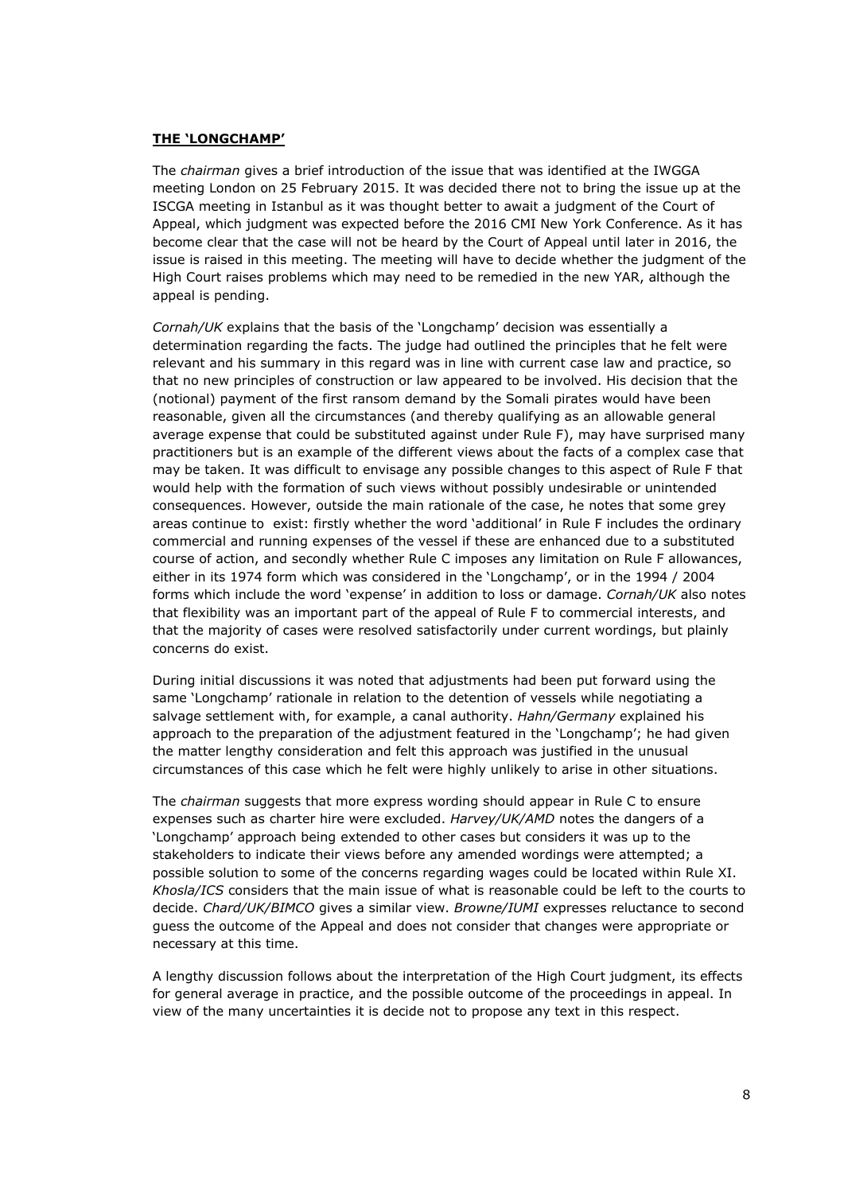### **THE 'LONGCHAMP'**

The *chairman* gives a brief introduction of the issue that was identified at the IWGGA meeting London on 25 February 2015. It was decided there not to bring the issue up at the ISCGA meeting in Istanbul as it was thought better to await a judgment of the Court of Appeal, which judgment was expected before the 2016 CMI New York Conference. As it has become clear that the case will not be heard by the Court of Appeal until later in 2016, the issue is raised in this meeting. The meeting will have to decide whether the judgment of the High Court raises problems which may need to be remedied in the new YAR, although the appeal is pending.

*Cornah/UK* explains that the basis of the 'Longchamp' decision was essentially a determination regarding the facts. The judge had outlined the principles that he felt were relevant and his summary in this regard was in line with current case law and practice, so that no new principles of construction or law appeared to be involved. His decision that the (notional) payment of the first ransom demand by the Somali pirates would have been reasonable, given all the circumstances (and thereby qualifying as an allowable general average expense that could be substituted against under Rule F), may have surprised many practitioners but is an example of the different views about the facts of a complex case that may be taken. It was difficult to envisage any possible changes to this aspect of Rule F that would help with the formation of such views without possibly undesirable or unintended consequences. However, outside the main rationale of the case, he notes that some grey areas continue to exist: firstly whether the word 'additional' in Rule F includes the ordinary commercial and running expenses of the vessel if these are enhanced due to a substituted course of action, and secondly whether Rule C imposes any limitation on Rule F allowances, either in its 1974 form which was considered in the 'Longchamp', or in the 1994 / 2004 forms which include the word 'expense' in addition to loss or damage. *Cornah/UK* also notes that flexibility was an important part of the appeal of Rule F to commercial interests, and that the majority of cases were resolved satisfactorily under current wordings, but plainly concerns do exist.

During initial discussions it was noted that adjustments had been put forward using the same 'Longchamp' rationale in relation to the detention of vessels while negotiating a salvage settlement with, for example, a canal authority. *Hahn/Germany* explained his approach to the preparation of the adjustment featured in the 'Longchamp'; he had given the matter lengthy consideration and felt this approach was justified in the unusual circumstances of this case which he felt were highly unlikely to arise in other situations.

The *chairman* suggests that more express wording should appear in Rule C to ensure expenses such as charter hire were excluded. *Harvey/UK/AMD* notes the dangers of a 'Longchamp' approach being extended to other cases but considers it was up to the stakeholders to indicate their views before any amended wordings were attempted; a possible solution to some of the concerns regarding wages could be located within Rule XI. *Khosla/ICS* considers that the main issue of what is reasonable could be left to the courts to decide. *Chard/UK/BIMCO* gives a similar view. *Browne/IUMI* expresses reluctance to second guess the outcome of the Appeal and does not consider that changes were appropriate or necessary at this time.

A lengthy discussion follows about the interpretation of the High Court judgment, its effects for general average in practice, and the possible outcome of the proceedings in appeal. In view of the many uncertainties it is decide not to propose any text in this respect.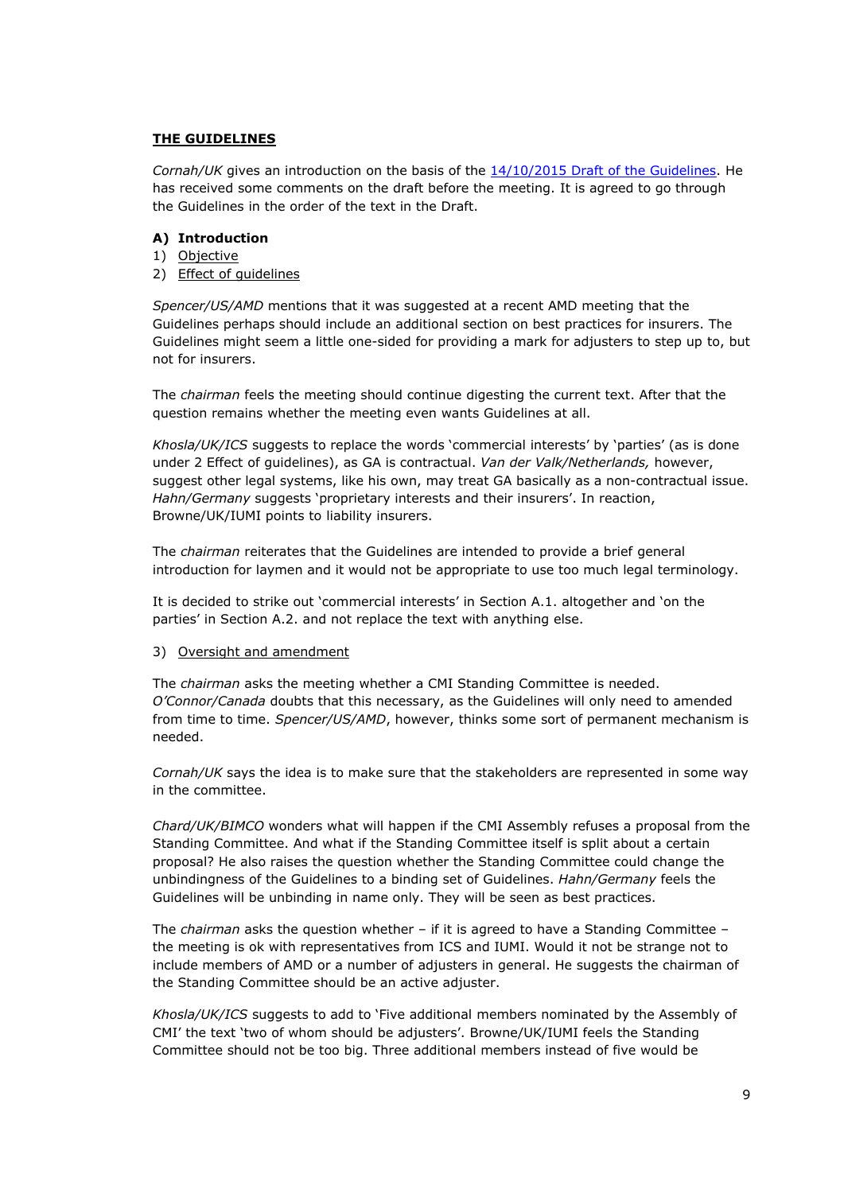### **THE GUIDELINES**

*Cornah/UK* gives an introduction on the basis of the [14/10/2015](http://comitemaritime.org/Uploads/Work%20In%20Progress/Rules%20of%20General%20Average/DraftCMIGuidelinesOnGA20151014.pdf) [Draft](http://comitemaritime.org/Uploads/Work%20In%20Progress/Rules%20of%20General%20Average/DraftCMIGuidelinesOnGA20151014.pdf) [of](http://comitemaritime.org/Uploads/Work%20In%20Progress/Rules%20of%20General%20Average/DraftCMIGuidelinesOnGA20151014.pdf) [the](http://comitemaritime.org/Uploads/Work%20In%20Progress/Rules%20of%20General%20Average/DraftCMIGuidelinesOnGA20151014.pdf) [Guidelines.](http://comitemaritime.org/Uploads/Work%20In%20Progress/Rules%20of%20General%20Average/DraftCMIGuidelinesOnGA20151014.pdf) He has received some comments on the draft before the meeting. It is agreed to go through the Guidelines in the order of the text in the Draft.

### **A) Introduction**

- 1) Objective
- 2) Effect of guidelines

*Spencer/US/AMD* mentions that it was suggested at a recent AMD meeting that the Guidelines perhaps should include an additional section on best practices for insurers. The Guidelines might seem a little one-sided for providing a mark for adjusters to step up to, but not for insurers.

The *chairman* feels the meeting should continue digesting the current text. After that the question remains whether the meeting even wants Guidelines at all.

*Khosla/UK/ICS* suggests to replace the words 'commercial interests' by 'parties' (as is done under 2 Effect of guidelines), as GA is contractual. *Van der Valk/Netherlands,* however, suggest other legal systems, like his own, may treat GA basically as a non-contractual issue. *Hahn/Germany* suggests 'proprietary interests and their insurers'. In reaction, Browne/UK/IUMI points to liability insurers.

The *chairman* reiterates that the Guidelines are intended to provide a brief general introduction for laymen and it would not be appropriate to use too much legal terminology.

It is decided to strike out 'commercial interests' in Section A.1. altogether and 'on the parties' in Section A.2. and not replace the text with anything else.

3) Oversight and amendment

The *chairman* asks the meeting whether a CMI Standing Committee is needed. *O'Connor/Canada* doubts that this necessary, as the Guidelines will only need to amended from time to time. *Spencer/US/AMD*, however, thinks some sort of permanent mechanism is needed.

*Cornah/UK* says the idea is to make sure that the stakeholders are represented in some way in the committee.

*Chard/UK/BIMCO* wonders what will happen if the CMI Assembly refuses a proposal from the Standing Committee. And what if the Standing Committee itself is split about a certain proposal? He also raises the question whether the Standing Committee could change the unbindingness of the Guidelines to a binding set of Guidelines. *Hahn/Germany* feels the Guidelines will be unbinding in name only. They will be seen as best practices.

The *chairman* asks the question whether – if it is agreed to have a Standing Committee – the meeting is ok with representatives from ICS and IUMI. Would it not be strange not to include members of AMD or a number of adjusters in general. He suggests the chairman of the Standing Committee should be an active adjuster.

*Khosla/UK/ICS* suggests to add to 'Five additional members nominated by the Assembly of CMI' the text 'two of whom should be adjusters'. Browne/UK/IUMI feels the Standing Committee should not be too big. Three additional members instead of five would be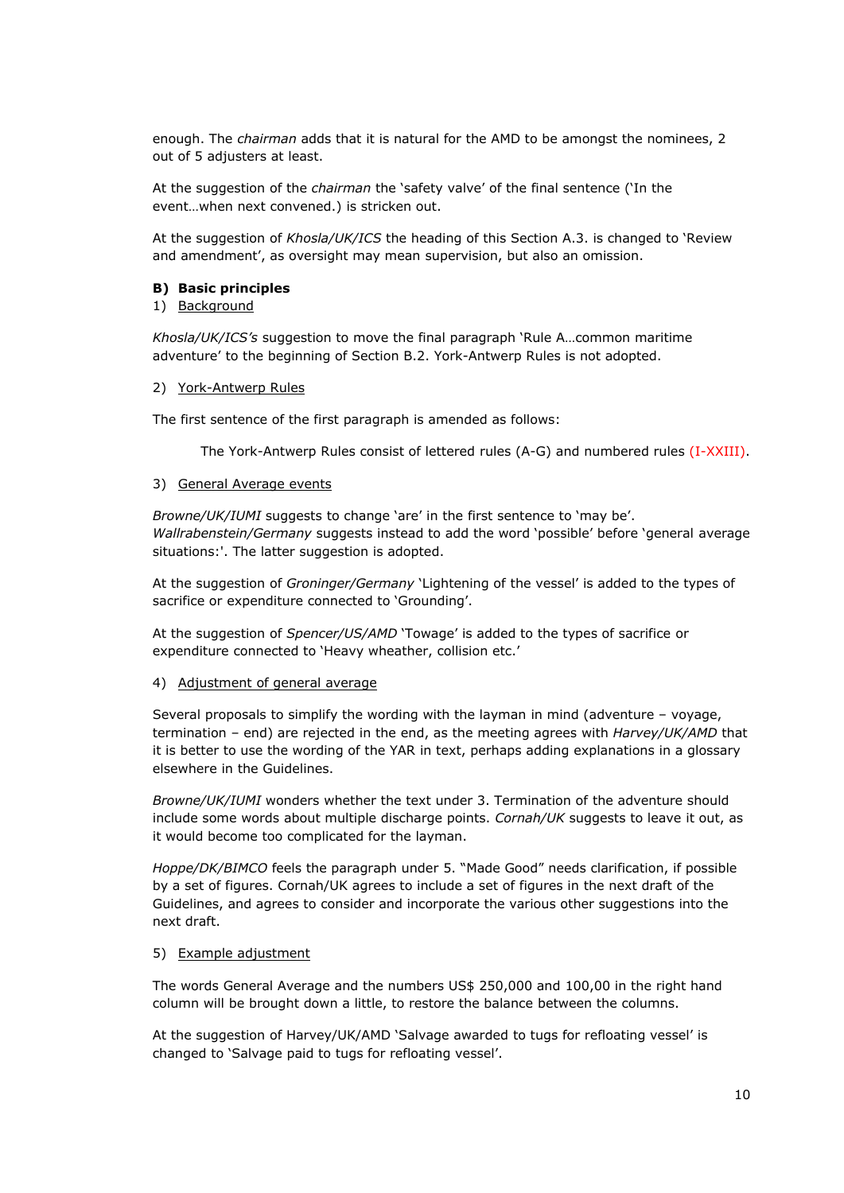enough. The *chairman* adds that it is natural for the AMD to be amongst the nominees, 2 out of 5 adjusters at least.

At the suggestion of the *chairman* the 'safety valve' of the final sentence ('In the event…when next convened.) is stricken out.

At the suggestion of *Khosla/UK/ICS* the heading of this Section A.3. is changed to 'Review and amendment', as oversight may mean supervision, but also an omission.

### **B) Basic principles**

### 1) Background

*Khosla/UK/ICS's* suggestion to move the final paragraph 'Rule A…common maritime adventure' to the beginning of Section B.2. York-Antwerp Rules is not adopted.

2) York-Antwerp Rules

The first sentence of the first paragraph is amended as follows:

The York-Antwerp Rules consist of lettered rules (A-G) and numbered rules (I-XXIII).

### 3) General Average events

*Browne/UK/IUMI* suggests to change 'are' in the first sentence to 'may be'. *Wallrabenstein/Germany* suggests instead to add the word 'possible' before 'general average situations:'. The latter suggestion is adopted.

At the suggestion of *Groninger/Germany* 'Lightening of the vessel' is added to the types of sacrifice or expenditure connected to 'Grounding'.

At the suggestion of *Spencer/US/AMD* 'Towage' is added to the types of sacrifice or expenditure connected to 'Heavy wheather, collision etc.'

### 4) Adjustment of general average

Several proposals to simplify the wording with the layman in mind (adventure – voyage, termination – end) are rejected in the end, as the meeting agrees with *Harvey/UK/AMD* that it is better to use the wording of the YAR in text, perhaps adding explanations in a glossary elsewhere in the Guidelines.

*Browne/UK/IUMI* wonders whether the text under 3. Termination of the adventure should include some words about multiple discharge points. *Cornah/UK* suggests to leave it out, as it would become too complicated for the layman.

*Hoppe/DK/BIMCO* feels the paragraph under 5. "Made Good" needs clarification, if possible by a set of figures. Cornah/UK agrees to include a set of figures in the next draft of the Guidelines, and agrees to consider and incorporate the various other suggestions into the next draft.

# 5) Example adjustment

The words General Average and the numbers US\$ 250,000 and 100,00 in the right hand column will be brought down a little, to restore the balance between the columns.

At the suggestion of Harvey/UK/AMD 'Salvage awarded to tugs for refloating vessel' is changed to 'Salvage paid to tugs for refloating vessel'.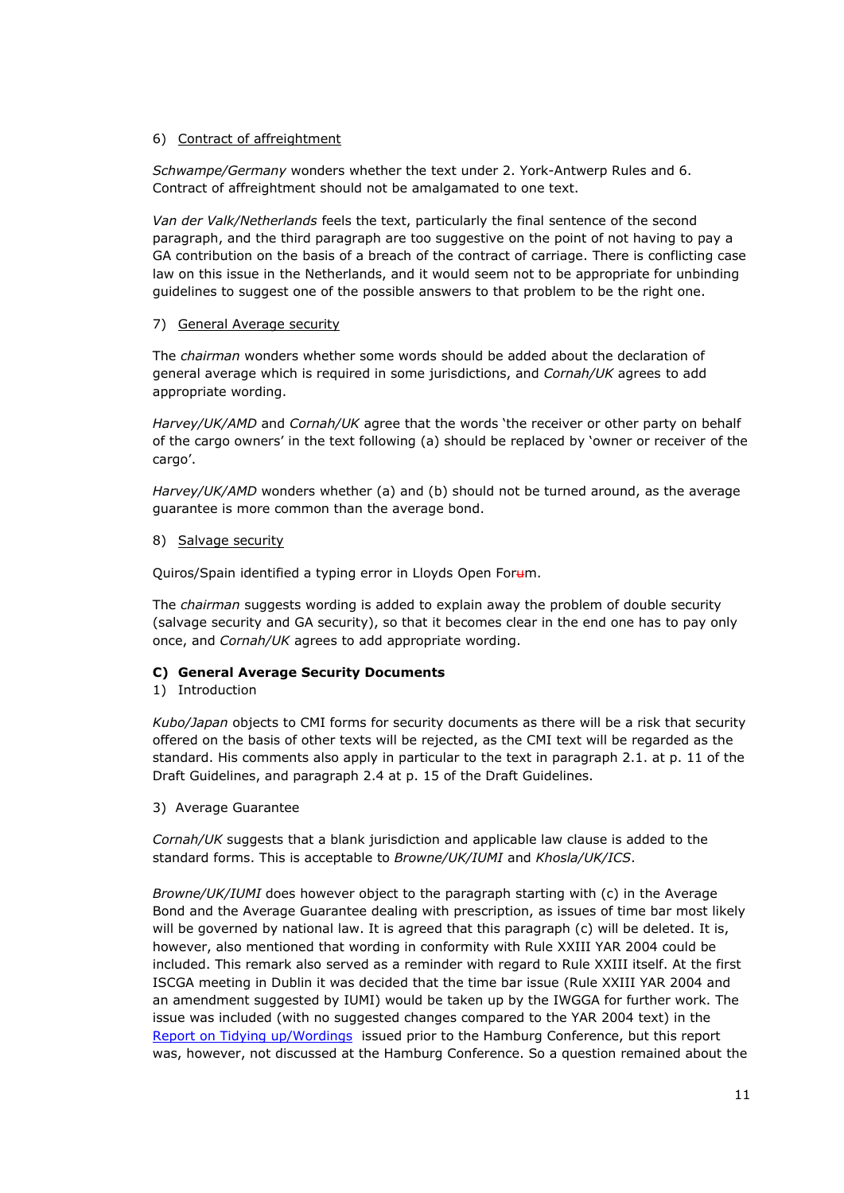# 6) Contract of affreightment

*Schwampe/Germany* wonders whether the text under 2. York-Antwerp Rules and 6. Contract of affreightment should not be amalgamated to one text.

*Van der Valk/Netherlands* feels the text, particularly the final sentence of the second paragraph, and the third paragraph are too suggestive on the point of not having to pay a GA contribution on the basis of a breach of the contract of carriage. There is conflicting case law on this issue in the Netherlands, and it would seem not to be appropriate for unbinding guidelines to suggest one of the possible answers to that problem to be the right one.

### 7) General Average security

The *chairman* wonders whether some words should be added about the declaration of general average which is required in some jurisdictions, and *Cornah/UK* agrees to add appropriate wording.

*Harvey/UK/AMD* and *Cornah/UK* agree that the words 'the receiver or other party on behalf of the cargo owners' in the text following (a) should be replaced by 'owner or receiver of the cargo'.

*Harvey/UK/AMD* wonders whether (a) and (b) should not be turned around, as the average guarantee is more common than the average bond.

### 8) Salvage security

Quiros/Spain identified a typing error in Lloyds Open Forum.

The *chairman* suggests wording is added to explain away the problem of double security (salvage security and GA security), so that it becomes clear in the end one has to pay only once, and *Cornah/UK* agrees to add appropriate wording.

# **C) General Average Security Documents**

### 1) Introduction

*Kubo/Japan* objects to CMI forms for security documents as there will be a risk that security offered on the basis of other texts will be rejected, as the CMI text will be regarded as the standard. His comments also apply in particular to the text in paragraph 2.1. at p. 11 of the Draft Guidelines, and paragraph 2.4 at p. 15 of the Draft Guidelines.

3) Average Guarantee

*Cornah/UK* suggests that a blank jurisdiction and applicable law clause is added to the standard forms. This is acceptable to *Browne/UK/IUMI* and *Khosla/UK/ICS*.

*Browne/UK/IUMI* does however object to the paragraph starting with (c) in the Average Bond and the Average Guarantee dealing with prescription, as issues of time bar most likely will be governed by national law. It is agreed that this paragraph (c) will be deleted. It is, however, also mentioned that wording in conformity with Rule XXIII YAR 2004 could be included. This remark also served as a reminder with regard to Rule XXIII itself. At the first ISCGA meeting in Dublin it was decided that the time bar issue (Rule XXIII YAR 2004 and an amendment suggested by IUMI) would be taken up by the IWGGA for further work. The issue was included (with no suggested changes compared to the YAR 2004 text) in the [Report](http://www.comitemaritime.org/Uploads/pdf/CMI_IWGGA_ReportWording.pdf) [on](http://www.comitemaritime.org/Uploads/pdf/CMI_IWGGA_ReportWording.pdf) [Tidying](http://www.comitemaritime.org/Uploads/pdf/CMI_IWGGA_ReportWording.pdf) [up/Wordings](http://www.comitemaritime.org/Uploads/pdf/CMI_IWGGA_ReportWording.pdf) issued prior to the Hamburg Conference, but this report was, however, not discussed at the Hamburg Conference. So a question remained about the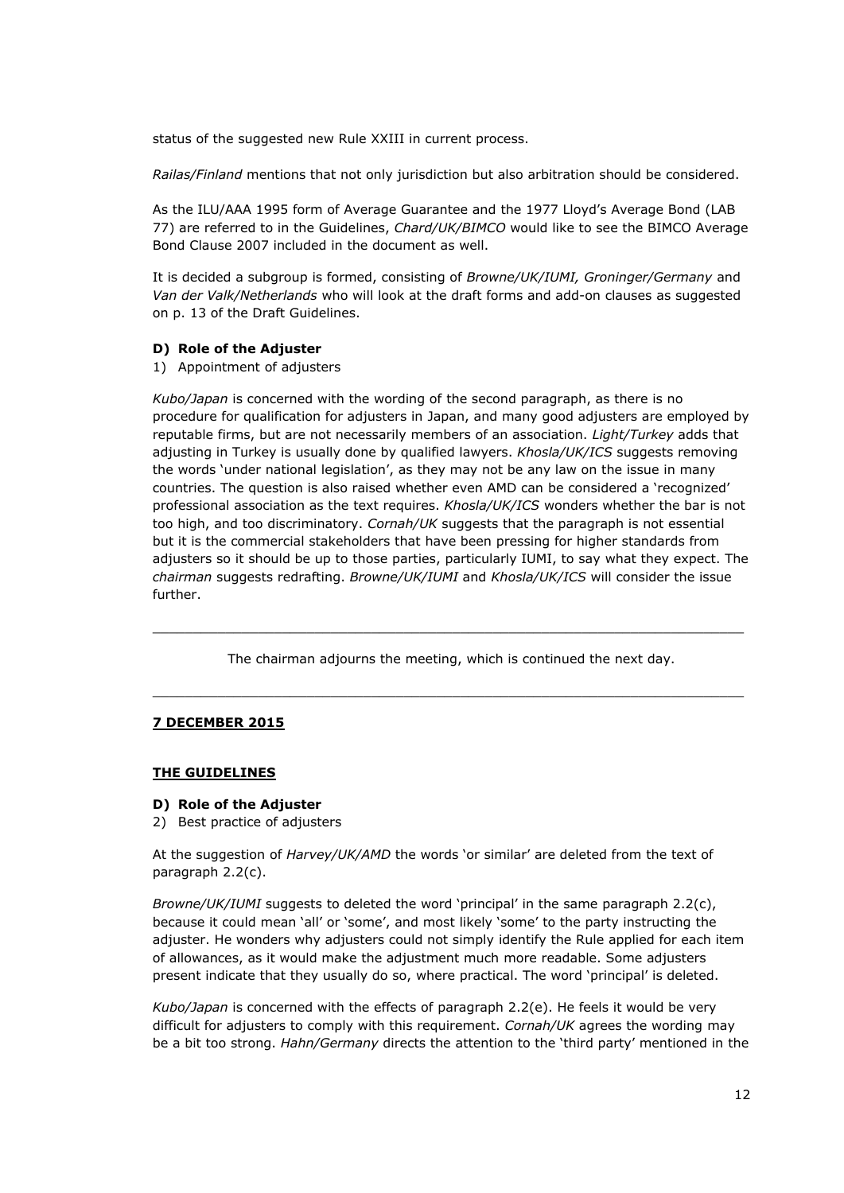status of the suggested new Rule XXIII in current process.

*Railas/Finland* mentions that not only jurisdiction but also arbitration should be considered.

As the ILU/AAA 1995 form of Average Guarantee and the 1977 Lloyd's Average Bond (LAB 77) are referred to in the Guidelines, *Chard/UK/BIMCO* would like to see the BIMCO Average Bond Clause 2007 included in the document as well.

It is decided a subgroup is formed, consisting of *Browne/UK/IUMI, Groninger/Germany* and *Van der Valk/Netherlands* who will look at the draft forms and add-on clauses as suggested on p. 13 of the Draft Guidelines.

#### **D) Role of the Adjuster**

1) Appointment of adjusters

*Kubo/Japan* is concerned with the wording of the second paragraph, as there is no procedure for qualification for adjusters in Japan, and many good adjusters are employed by reputable firms, but are not necessarily members of an association. *Light/Turkey* adds that adjusting in Turkey is usually done by qualified lawyers. *Khosla/UK/ICS* suggests removing the words 'under national legislation', as they may not be any law on the issue in many countries. The question is also raised whether even AMD can be considered a 'recognized' professional association as the text requires. *Khosla/UK/ICS* wonders whether the bar is not too high, and too discriminatory. *Cornah/UK* suggests that the paragraph is not essential but it is the commercial stakeholders that have been pressing for higher standards from adjusters so it should be up to those parties, particularly IUMI, to say what they expect. The *chairman* suggests redrafting. *Browne/UK/IUMI* and *Khosla/UK/ICS* will consider the issue further.

The chairman adjourns the meeting, which is continued the next day.

\_\_\_\_\_\_\_\_\_\_\_\_\_\_\_\_\_\_\_\_\_\_\_\_\_\_\_\_\_\_\_\_\_\_\_\_\_\_\_\_\_\_\_\_\_\_\_\_\_\_\_\_\_\_\_\_\_\_\_\_\_\_\_\_\_\_\_\_\_\_\_\_\_

\_\_\_\_\_\_\_\_\_\_\_\_\_\_\_\_\_\_\_\_\_\_\_\_\_\_\_\_\_\_\_\_\_\_\_\_\_\_\_\_\_\_\_\_\_\_\_\_\_\_\_\_\_\_\_\_\_\_\_\_\_\_\_\_\_\_\_\_\_\_\_\_\_

### **7 DECEMBER 2015**

#### **THE GUIDELINES**

#### **D) Role of the Adjuster**

2) Best practice of adjusters

At the suggestion of *Harvey/UK/AMD* the words 'or similar' are deleted from the text of paragraph 2.2(c).

*Browne/UK/IUMI* suggests to deleted the word 'principal' in the same paragraph 2.2(c), because it could mean 'all' or 'some', and most likely 'some' to the party instructing the adjuster. He wonders why adjusters could not simply identify the Rule applied for each item of allowances, as it would make the adjustment much more readable. Some adjusters present indicate that they usually do so, where practical. The word 'principal' is deleted.

*Kubo/Japan* is concerned with the effects of paragraph 2.2(e). He feels it would be very difficult for adjusters to comply with this requirement. *Cornah/UK* agrees the wording may be a bit too strong. *Hahn/Germany* directs the attention to the 'third party' mentioned in the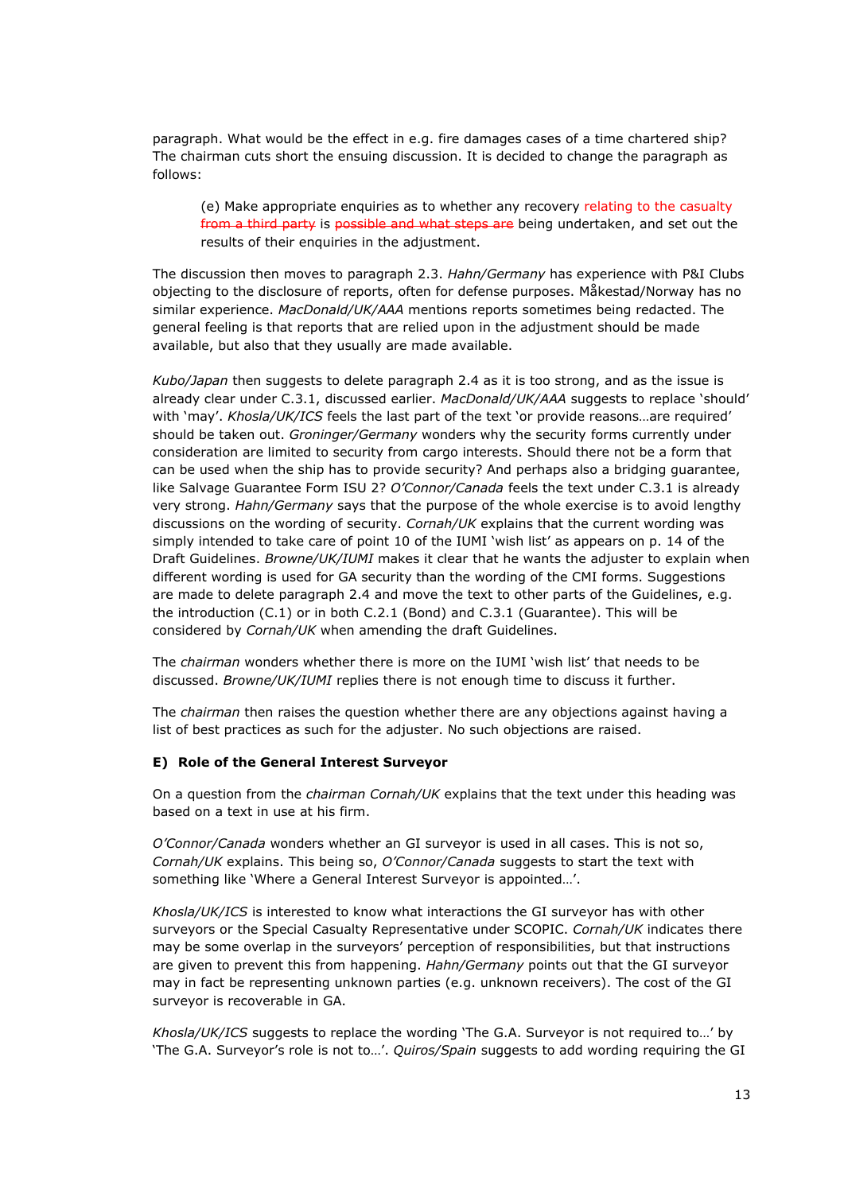paragraph. What would be the effect in e.g. fire damages cases of a time chartered ship? The chairman cuts short the ensuing discussion. It is decided to change the paragraph as follows:

(e) Make appropriate enquiries as to whether any recovery relating to the casualty from a third party is possible and what steps are being undertaken, and set out the results of their enquiries in the adjustment.

The discussion then moves to paragraph 2.3. *Hahn/Germany* has experience with P&I Clubs objecting to the disclosure of reports, often for defense purposes. Måkestad/Norway has no similar experience. *MacDonald/UK/AAA* mentions reports sometimes being redacted. The general feeling is that reports that are relied upon in the adjustment should be made available, but also that they usually are made available.

*Kubo/Japan* then suggests to delete paragraph 2.4 as it is too strong, and as the issue is already clear under C.3.1, discussed earlier. *MacDonald/UK/AAA* suggests to replace 'should' with 'may'. *Khosla/UK/ICS* feels the last part of the text 'or provide reasons…are required' should be taken out. *Groninger/Germany* wonders why the security forms currently under consideration are limited to security from cargo interests. Should there not be a form that can be used when the ship has to provide security? And perhaps also a bridging guarantee, like Salvage Guarantee Form ISU 2? *O'Connor/Canada* feels the text under C.3.1 is already very strong. *Hahn/Germany* says that the purpose of the whole exercise is to avoid lengthy discussions on the wording of security. *Cornah/UK* explains that the current wording was simply intended to take care of point 10 of the IUMI 'wish list' as appears on p. 14 of the Draft Guidelines. *Browne/UK/IUMI* makes it clear that he wants the adjuster to explain when different wording is used for GA security than the wording of the CMI forms. Suggestions are made to delete paragraph 2.4 and move the text to other parts of the Guidelines, e.g. the introduction (C.1) or in both C.2.1 (Bond) and C.3.1 (Guarantee). This will be considered by *Cornah/UK* when amending the draft Guidelines.

The *chairman* wonders whether there is more on the IUMI 'wish list' that needs to be discussed. *Browne/UK/IUMI* replies there is not enough time to discuss it further.

The *chairman* then raises the question whether there are any objections against having a list of best practices as such for the adjuster. No such objections are raised.

### **E) Role of the General Interest Surveyor**

On a question from the *chairman Cornah/UK* explains that the text under this heading was based on a text in use at his firm.

*O'Connor/Canada* wonders whether an GI surveyor is used in all cases. This is not so, *Cornah/UK* explains. This being so, *O'Connor/Canada* suggests to start the text with something like 'Where a General Interest Surveyor is appointed…'.

*Khosla/UK/ICS* is interested to know what interactions the GI surveyor has with other surveyors or the Special Casualty Representative under SCOPIC. *Cornah/UK* indicates there may be some overlap in the surveyors' perception of responsibilities, but that instructions are given to prevent this from happening. *Hahn/Germany* points out that the GI surveyor may in fact be representing unknown parties (e.g. unknown receivers). The cost of the GI surveyor is recoverable in GA.

*Khosla/UK/ICS* suggests to replace the wording 'The G.A. Surveyor is not required to…' by 'The G.A. Surveyor's role is not to…'. *Quiros/Spain* suggests to add wording requiring the GI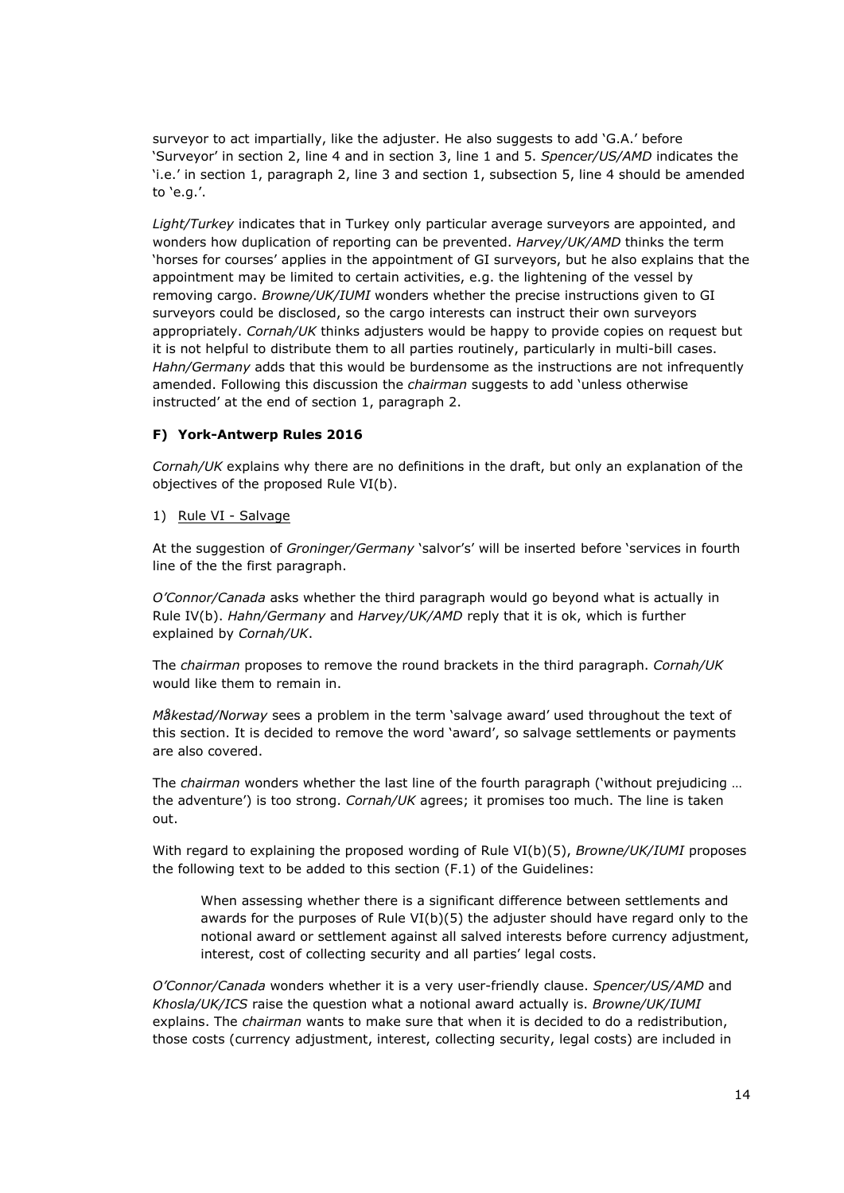surveyor to act impartially, like the adjuster. He also suggests to add 'G.A.' before 'Surveyor' in section 2, line 4 and in section 3, line 1 and 5. *Spencer/US/AMD* indicates the 'i.e.' in section 1, paragraph 2, line 3 and section 1, subsection 5, line 4 should be amended to 'e.g.'.

*Light/Turkey* indicates that in Turkey only particular average surveyors are appointed, and wonders how duplication of reporting can be prevented. *Harvey/UK/AMD* thinks the term 'horses for courses' applies in the appointment of GI surveyors, but he also explains that the appointment may be limited to certain activities, e.g. the lightening of the vessel by removing cargo. *Browne/UK/IUMI* wonders whether the precise instructions given to GI surveyors could be disclosed, so the cargo interests can instruct their own surveyors appropriately. *Cornah/UK* thinks adjusters would be happy to provide copies on request but it is not helpful to distribute them to all parties routinely, particularly in multi-bill cases. *Hahn/Germany* adds that this would be burdensome as the instructions are not infrequently amended. Following this discussion the *chairman* suggests to add 'unless otherwise instructed' at the end of section 1, paragraph 2.

# **F) York-Antwerp Rules 2016**

*Cornah/UK* explains why there are no definitions in the draft, but only an explanation of the objectives of the proposed Rule VI(b).

### 1) Rule VI - Salvage

At the suggestion of *Groninger/Germany* 'salvor's' will be inserted before 'services in fourth line of the the first paragraph.

*O'Connor/Canada* asks whether the third paragraph would go beyond what is actually in Rule IV(b). *Hahn/Germany* and *Harvey/UK/AMD* reply that it is ok, which is further explained by *Cornah/UK*.

The *chairman* proposes to remove the round brackets in the third paragraph. *Cornah/UK* would like them to remain in.

*Måkestad/Norway* sees a problem in the term 'salvage award' used throughout the text of this section. It is decided to remove the word 'award', so salvage settlements or payments are also covered.

The *chairman* wonders whether the last line of the fourth paragraph ('without prejudicing … the adventure') is too strong. *Cornah/UK* agrees; it promises too much. The line is taken out.

With regard to explaining the proposed wording of Rule VI(b)(5), *Browne/UK/IUMI* proposes the following text to be added to this section (F.1) of the Guidelines:

When assessing whether there is a significant difference between settlements and awards for the purposes of Rule  $VI(b)(5)$  the adjuster should have regard only to the notional award or settlement against all salved interests before currency adjustment, interest, cost of collecting security and all parties' legal costs.

*O'Connor/Canada* wonders whether it is a very user-friendly clause. *Spencer/US/AMD* and *Khosla/UK/ICS* raise the question what a notional award actually is. *Browne/UK/IUMI* explains. The *chairman* wants to make sure that when it is decided to do a redistribution, those costs (currency adjustment, interest, collecting security, legal costs) are included in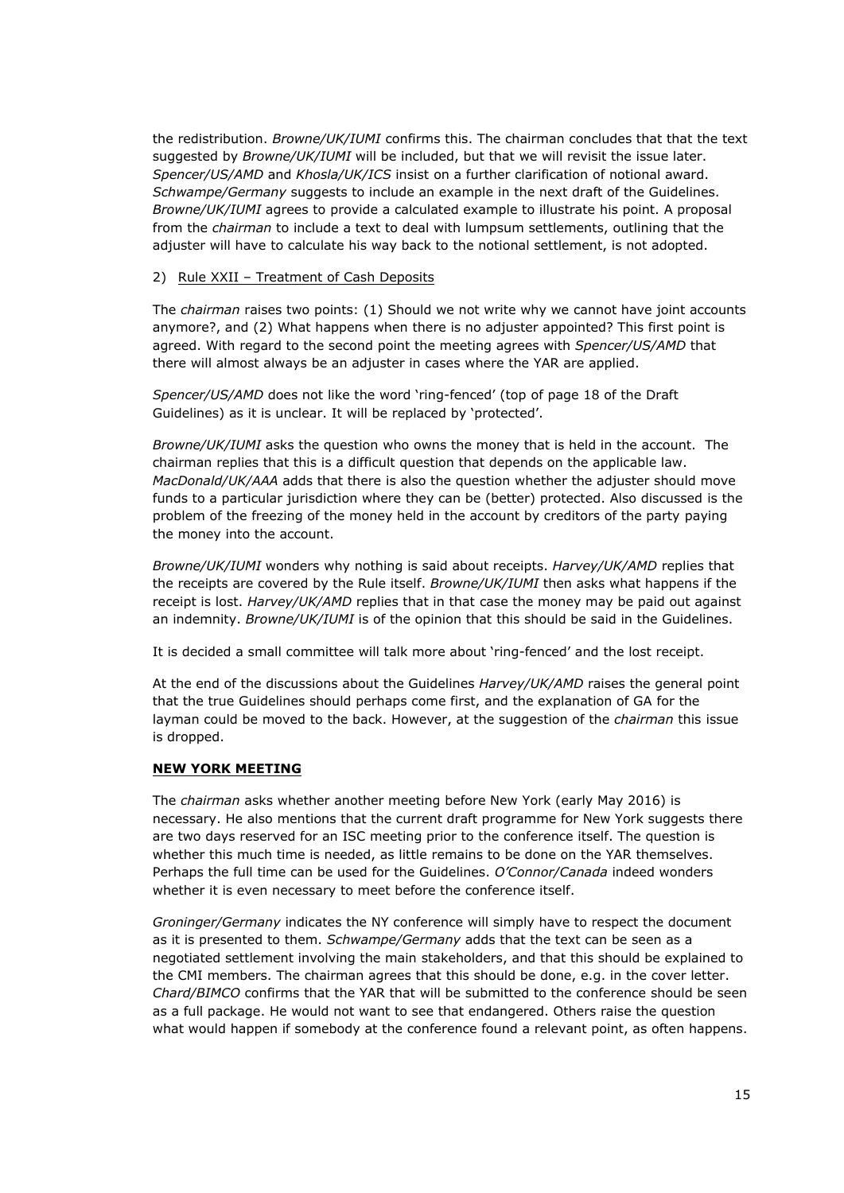the redistribution. *Browne/UK/IUMI* confirms this. The chairman concludes that that the text suggested by *Browne/UK/IUMI* will be included, but that we will revisit the issue later. *Spencer/US/AMD* and *Khosla/UK/ICS* insist on a further clarification of notional award. *Schwampe/Germany* suggests to include an example in the next draft of the Guidelines. *Browne/UK/IUMI* agrees to provide a calculated example to illustrate his point. A proposal from the *chairman* to include a text to deal with lumpsum settlements, outlining that the adjuster will have to calculate his way back to the notional settlement, is not adopted.

### 2) Rule XXII – Treatment of Cash Deposits

The *chairman* raises two points: (1) Should we not write why we cannot have joint accounts anymore?, and (2) What happens when there is no adjuster appointed? This first point is agreed. With regard to the second point the meeting agrees with *Spencer/US/AMD* that there will almost always be an adjuster in cases where the YAR are applied.

*Spencer/US/AMD* does not like the word 'ring-fenced' (top of page 18 of the Draft Guidelines) as it is unclear. It will be replaced by 'protected'.

*Browne/UK/IUMI* asks the question who owns the money that is held in the account. The chairman replies that this is a difficult question that depends on the applicable law. *MacDonald/UK/AAA* adds that there is also the question whether the adjuster should move funds to a particular jurisdiction where they can be (better) protected. Also discussed is the problem of the freezing of the money held in the account by creditors of the party paying the money into the account.

*Browne/UK/IUMI* wonders why nothing is said about receipts. *Harvey/UK/AMD* replies that the receipts are covered by the Rule itself. *Browne/UK/IUMI* then asks what happens if the receipt is lost. *Harvey/UK/AMD* replies that in that case the money may be paid out against an indemnity. *Browne/UK/IUMI* is of the opinion that this should be said in the Guidelines.

It is decided a small committee will talk more about 'ring-fenced' and the lost receipt.

At the end of the discussions about the Guidelines *Harvey/UK/AMD* raises the general point that the true Guidelines should perhaps come first, and the explanation of GA for the layman could be moved to the back. However, at the suggestion of the *chairman* this issue is dropped.

# **NEW YORK MEETING**

The *chairman* asks whether another meeting before New York (early May 2016) is necessary. He also mentions that the current draft programme for New York suggests there are two days reserved for an ISC meeting prior to the conference itself. The question is whether this much time is needed, as little remains to be done on the YAR themselves. Perhaps the full time can be used for the Guidelines. *O'Connor/Canada* indeed wonders whether it is even necessary to meet before the conference itself.

*Groninger/Germany* indicates the NY conference will simply have to respect the document as it is presented to them. *Schwampe/Germany* adds that the text can be seen as a negotiated settlement involving the main stakeholders, and that this should be explained to the CMI members. The chairman agrees that this should be done, e.g. in the cover letter. *Chard/BIMCO* confirms that the YAR that will be submitted to the conference should be seen as a full package. He would not want to see that endangered. Others raise the question what would happen if somebody at the conference found a relevant point, as often happens.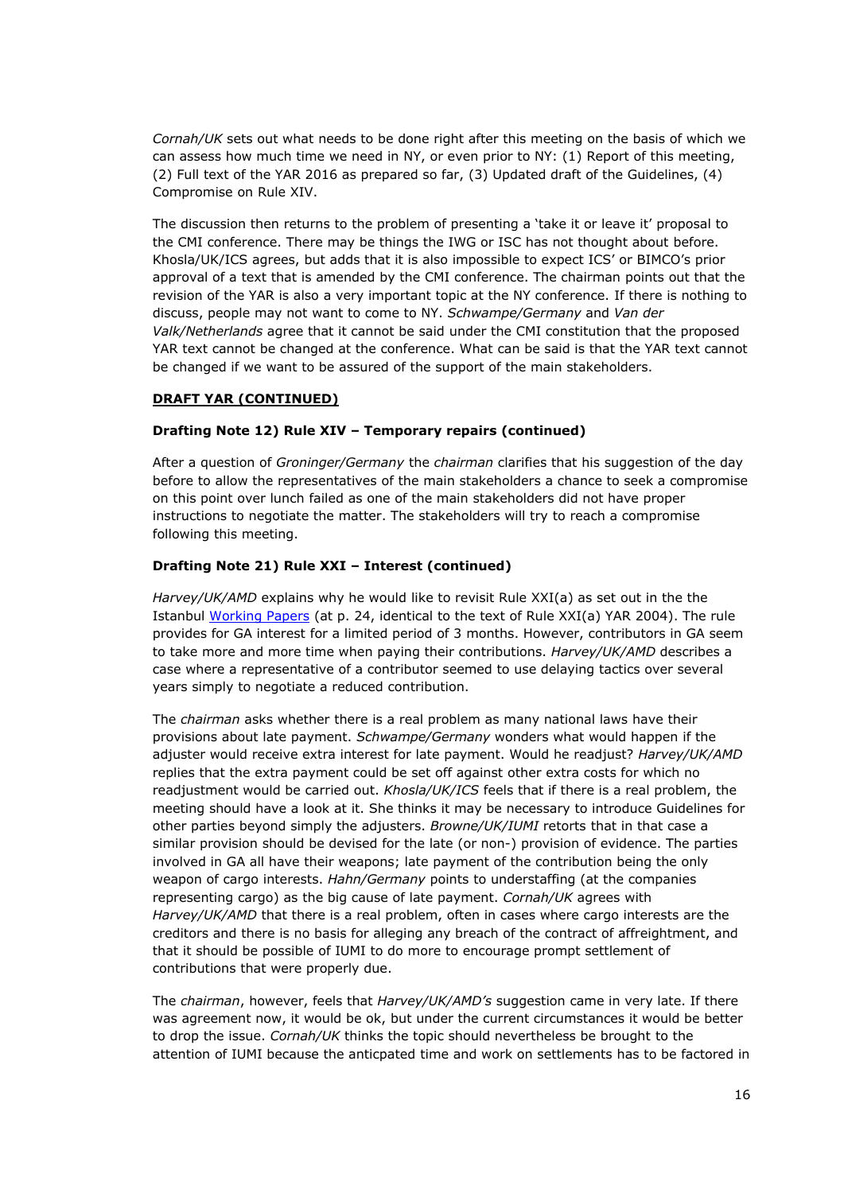*Cornah/UK* sets out what needs to be done right after this meeting on the basis of which we can assess how much time we need in NY, or even prior to NY: (1) Report of this meeting, (2) Full text of the YAR 2016 as prepared so far, (3) Updated draft of the Guidelines, (4) Compromise on Rule XIV.

The discussion then returns to the problem of presenting a 'take it or leave it' proposal to the CMI conference. There may be things the IWG or ISC has not thought about before. Khosla/UK/ICS agrees, but adds that it is also impossible to expect ICS' or BIMCO's prior approval of a text that is amended by the CMI conference. The chairman points out that the revision of the YAR is also a very important topic at the NY conference. If there is nothing to discuss, people may not want to come to NY. *Schwampe/Germany* and *Van der Valk/Netherlands* agree that it cannot be said under the CMI constitution that the proposed YAR text cannot be changed at the conference. What can be said is that the YAR text cannot be changed if we want to be assured of the support of the main stakeholders.

### **DRAFT YAR (CONTINUED)**

### **Drafting Note 12) Rule XIV – Temporary repairs (continued)**

After a question of *Groninger/Germany* the *chairman* clarifies that his suggestion of the day before to allow the representatives of the main stakeholders a chance to seek a compromise on this point over lunch failed as one of the main stakeholders did not have proper instructions to negotiate the matter. The stakeholders will try to reach a compromise following this meeting.

### **Drafting Note 21) Rule XXI – Interest (continued)**

*Harvey/UK/AMD* explains why he would like to revisit Rule XXI(a) as set out in the the Istanbul [Working](http://www.comitemaritime.org/Uploads/Work%20In%20Progress/Rules%20of%20General%20Average/CMI_IWG_GA_ISCWorkingPaperIstanbul2015(final).pdf) [Papers](http://www.comitemaritime.org/Uploads/Work%20In%20Progress/Rules%20of%20General%20Average/CMI_IWG_GA_ISCWorkingPaperIstanbul2015(final).pdf) (at p. 24, identical to the text of Rule XXI(a) YAR 2004). The rule provides for GA interest for a limited period of 3 months. However, contributors in GA seem to take more and more time when paying their contributions. *Harvey/UK/AMD* describes a case where a representative of a contributor seemed to use delaying tactics over several years simply to negotiate a reduced contribution.

The *chairman* asks whether there is a real problem as many national laws have their provisions about late payment. *Schwampe/Germany* wonders what would happen if the adjuster would receive extra interest for late payment. Would he readjust? *Harvey/UK/AMD* replies that the extra payment could be set off against other extra costs for which no readjustment would be carried out. *Khosla/UK/ICS* feels that if there is a real problem, the meeting should have a look at it. She thinks it may be necessary to introduce Guidelines for other parties beyond simply the adjusters. *Browne/UK/IUMI* retorts that in that case a similar provision should be devised for the late (or non-) provision of evidence. The parties involved in GA all have their weapons; late payment of the contribution being the only weapon of cargo interests. *Hahn/Germany* points to understaffing (at the companies representing cargo) as the big cause of late payment. *Cornah/UK* agrees with *Harvey/UK/AMD* that there is a real problem, often in cases where cargo interests are the creditors and there is no basis for alleging any breach of the contract of affreightment, and that it should be possible of IUMI to do more to encourage prompt settlement of contributions that were properly due.

The *chairman*, however, feels that *Harvey/UK/AMD's* suggestion came in very late. If there was agreement now, it would be ok, but under the current circumstances it would be better to drop the issue. *Cornah/UK* thinks the topic should nevertheless be brought to the attention of IUMI because the anticpated time and work on settlements has to be factored in